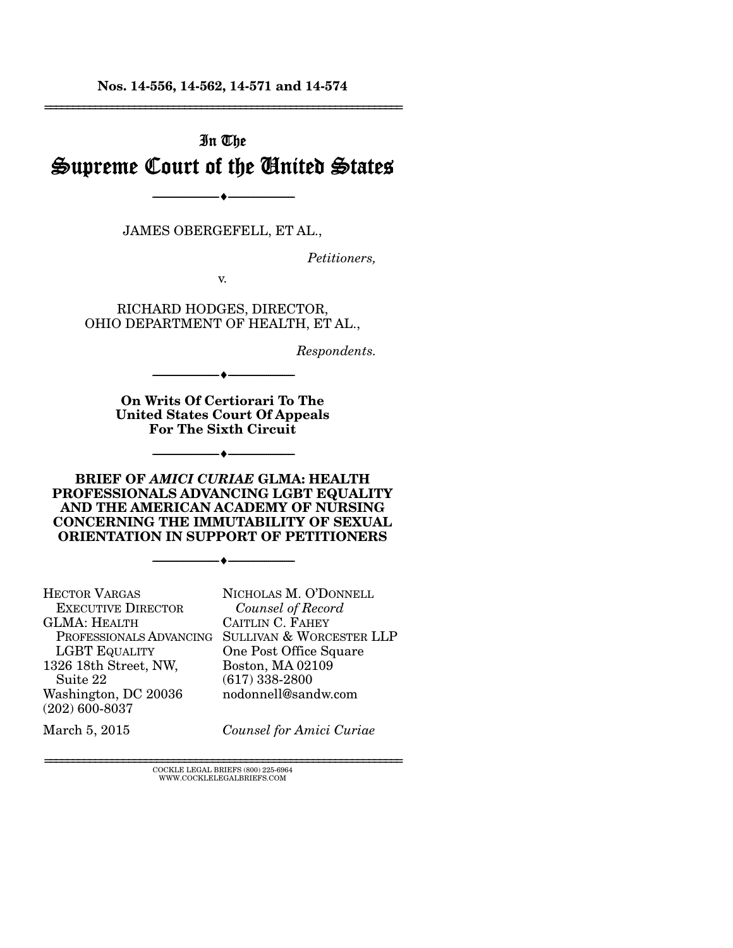**Nos. 14-556, 14-562, 14-571 and 14-574**  ================================================================

# In The Supreme Court of the United States

JAMES OBERGEFELL, ET AL.,

--------------------------------- ---------------------------------

*Petitioners,* 

v.

RICHARD HODGES, DIRECTOR, OHIO DEPARTMENT OF HEALTH, ET AL.,

*Respondents.* 

**On Writs Of Certiorari To The United States Court Of Appeals For The Sixth Circuit** 

--------------------------------- ---------------------------------

--------------------------------- ---------------------------------

**BRIEF OF** *AMICI CURIAE* **GLMA: HEALTH PROFESSIONALS ADVANCING LGBT EQUALITY AND THE AMERICAN ACADEMY OF NURSING CONCERNING THE IMMUTABILITY OF SEXUAL ORIENTATION IN SUPPORT OF PETITIONERS** 

--------------------------------- ---------------------------------

HECTOR VARGAS EXECUTIVE DIRECTOR GLMA: HEALTH PROFESSIONALS ADVANCING SULLIVAN & WORCESTER LLP LGBT EQUALITY 1326 18th Street, NW, Suite 22 Washington, DC 20036 (202) 600-8037 NICHOLAS M. O'DONNELL  *Counsel of Record*  CAITLIN C. FAHEY One Post Office Square Boston, MA 02109 (617) 338-2800 nodonnell@sandw.com

March 5, 2015

*Counsel for Amici Curiae*

================================================================ COCKLE LEGAL BRIEFS (800) 225-6964 WWW.COCKLELEGALBRIEFS.COM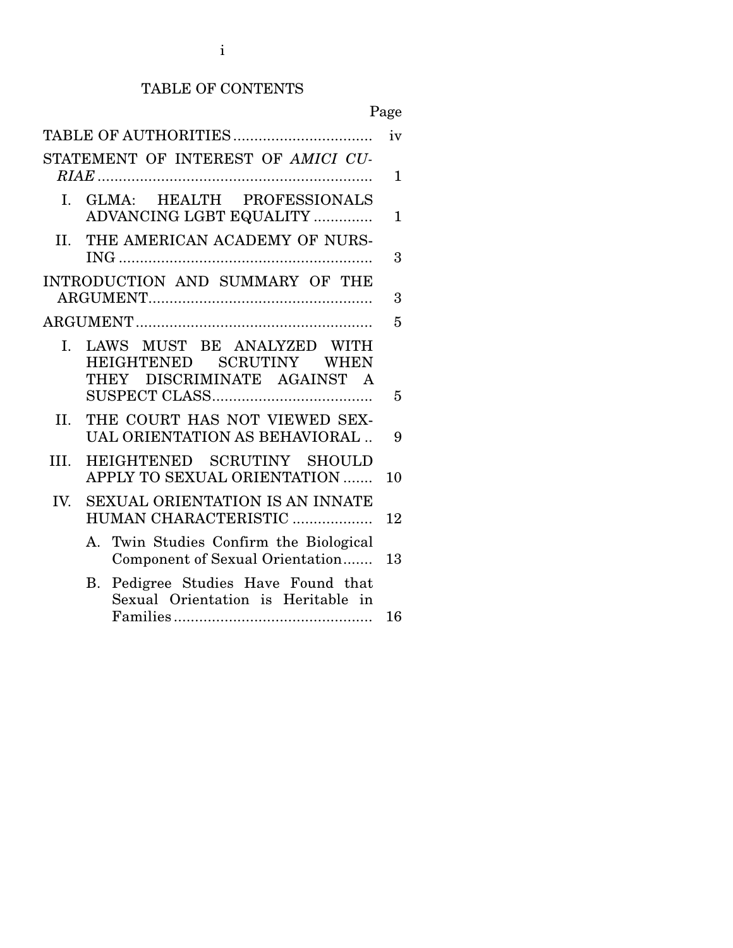## TABLE OF CONTENTS

Page

| STATEMENT OF INTEREST OF AMICI CU-<br>GLMA: HEALTH PROFESSIONALS<br>$\mathbf{L}$<br>ADVANCING LGBT EQUALITY<br>THE AMERICAN ACADEMY OF NURS-<br>II.<br>INTRODUCTION AND SUMMARY OF THE<br>LAWS MUST BE ANALYZED WITH<br>I.<br>HEIGHTENED SCRUTINY WHEN<br>DISCRIMINATE AGAINST A<br><b>THEY</b><br>THE COURT HAS NOT VIEWED SEX-<br>II.<br>UAL ORIENTATION AS BEHAVIORAL<br>HEIGHTENED SCRUTINY SHOULD<br>III.<br>APPLY TO SEXUAL ORIENTATION<br><b>SEXUAL ORIENTATION IS AN INNATE</b><br>IV.<br>HUMAN CHARACTERISTIC<br>A. Twin Studies Confirm the Biological<br>Component of Sexual Orientation<br>Pedigree Studies Have Found that<br>В.<br>Sexual Orientation is Heritable in |  |              |
|-------------------------------------------------------------------------------------------------------------------------------------------------------------------------------------------------------------------------------------------------------------------------------------------------------------------------------------------------------------------------------------------------------------------------------------------------------------------------------------------------------------------------------------------------------------------------------------------------------------------------------------------------------------------------------------|--|--------------|
|                                                                                                                                                                                                                                                                                                                                                                                                                                                                                                                                                                                                                                                                                     |  | iv           |
|                                                                                                                                                                                                                                                                                                                                                                                                                                                                                                                                                                                                                                                                                     |  | $\mathbf{1}$ |
|                                                                                                                                                                                                                                                                                                                                                                                                                                                                                                                                                                                                                                                                                     |  | $\mathbf{1}$ |
|                                                                                                                                                                                                                                                                                                                                                                                                                                                                                                                                                                                                                                                                                     |  | 3            |
|                                                                                                                                                                                                                                                                                                                                                                                                                                                                                                                                                                                                                                                                                     |  | 3            |
|                                                                                                                                                                                                                                                                                                                                                                                                                                                                                                                                                                                                                                                                                     |  | 5            |
|                                                                                                                                                                                                                                                                                                                                                                                                                                                                                                                                                                                                                                                                                     |  | 5            |
|                                                                                                                                                                                                                                                                                                                                                                                                                                                                                                                                                                                                                                                                                     |  | 9            |
|                                                                                                                                                                                                                                                                                                                                                                                                                                                                                                                                                                                                                                                                                     |  | 10           |
|                                                                                                                                                                                                                                                                                                                                                                                                                                                                                                                                                                                                                                                                                     |  | 12           |
|                                                                                                                                                                                                                                                                                                                                                                                                                                                                                                                                                                                                                                                                                     |  | 13           |
|                                                                                                                                                                                                                                                                                                                                                                                                                                                                                                                                                                                                                                                                                     |  | 16           |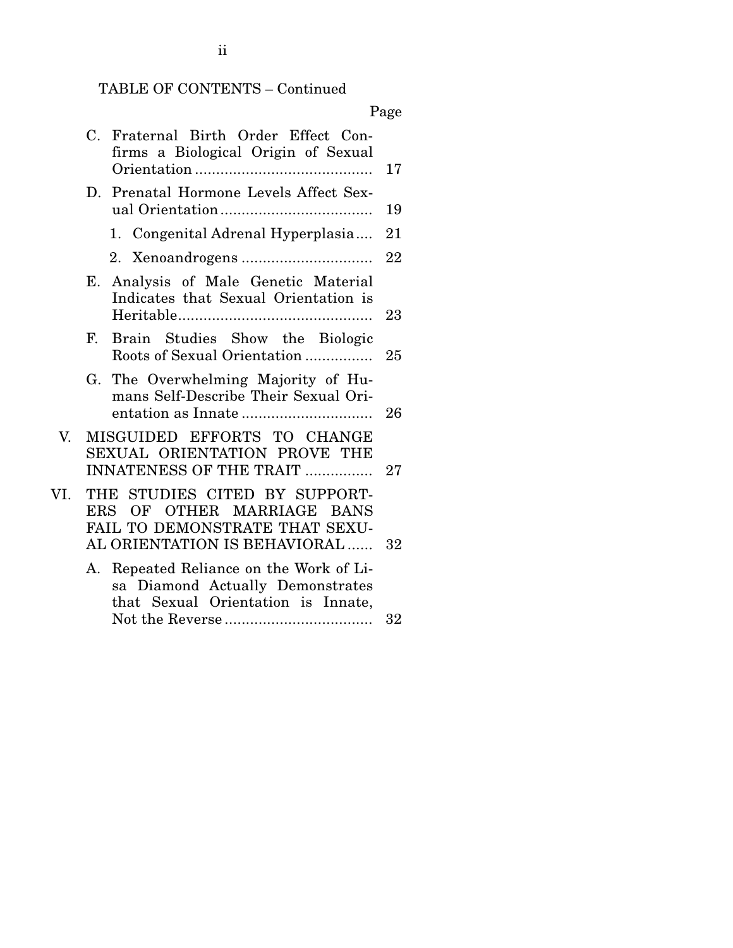# TABLE OF CONTENTS – Continued

# Page

|     | Fraternal Birth Order Effect Con-<br>$C_{\cdot}$<br>firms a Biological Origin of Sexual                                       | 17     |
|-----|-------------------------------------------------------------------------------------------------------------------------------|--------|
|     | Prenatal Hormone Levels Affect Sex-<br>D.                                                                                     | 19     |
|     | 1. Congenital Adrenal Hyperplasia                                                                                             | 21     |
|     |                                                                                                                               | 22     |
|     | Analysis of Male Genetic Material<br>Е.<br>Indicates that Sexual Orientation is                                               | 23     |
|     | $\mathbf{F}$<br>Brain Studies Show the Biologic<br>Roots of Sexual Orientation                                                | 25     |
|     | The Overwhelming Majority of Hu-<br>G.<br>mans Self-Describe Their Sexual Ori-                                                | 26     |
| V.  | MISGUIDED EFFORTS TO CHANGE<br>SEXUAL ORIENTATION PROVE THE<br><b>INNATENESS OF THE TRAIT </b>                                | 27     |
| VI. | THE STUDIES CITED BY SUPPORT-<br>ERS OF OTHER MARRIAGE BANS<br>FAIL TO DEMONSTRATE THAT SEXU-<br>AL ORIENTATION IS BEHAVIORAL | 32     |
|     | Repeated Reliance on the Work of Li-<br>А.<br>sa Diamond Actually Demonstrates<br>that Sexual Orientation is Innate,          | $32\,$ |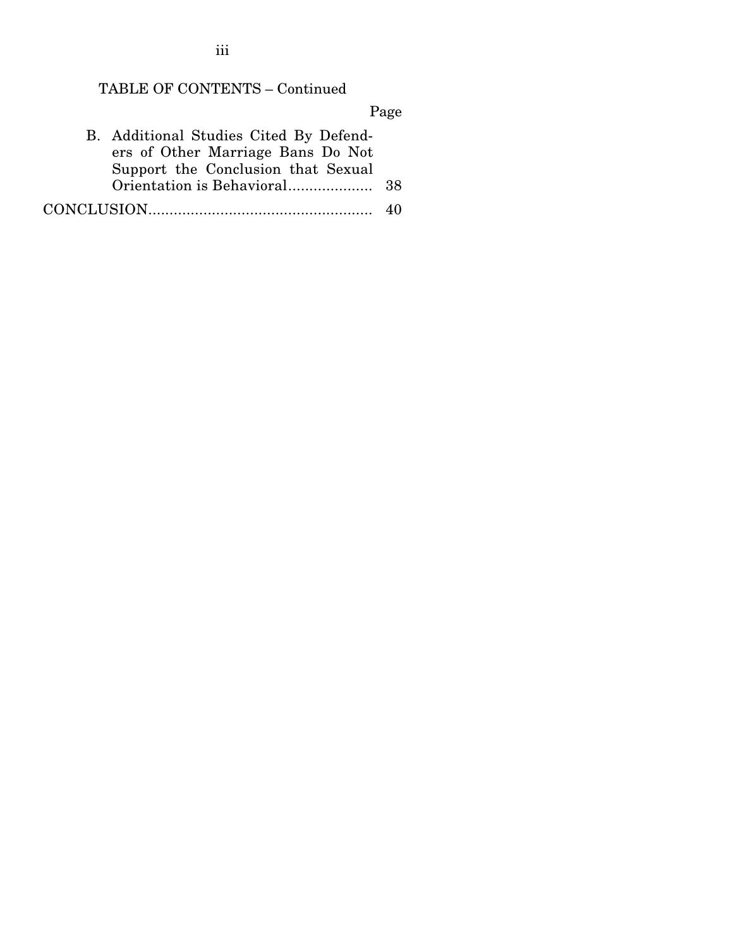# TABLE OF CONTENTS – Continued

Page

| B. Additional Studies Cited By Defend- |    |
|----------------------------------------|----|
| ers of Other Marriage Bans Do Not      |    |
| Support the Conclusion that Sexual     |    |
|                                        |    |
|                                        | 40 |

iii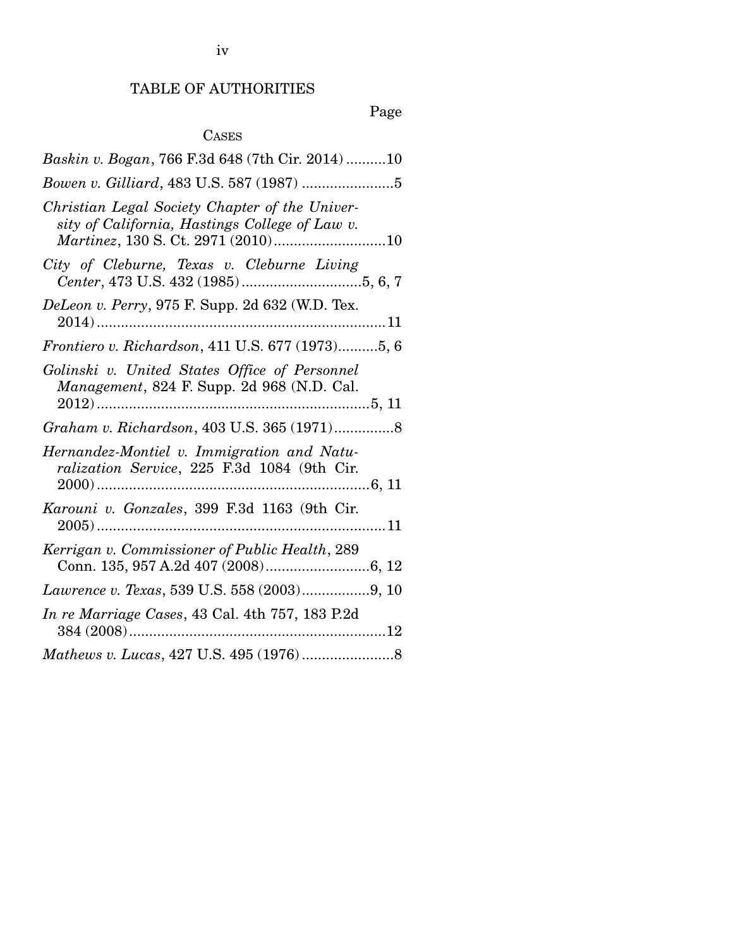iv

# TABLE OF AUTHORITIES

# Page

# CASES

| Baskin v. Bogan, 766 F.3d 648 (7th Cir. 2014)10                                                  |
|--------------------------------------------------------------------------------------------------|
|                                                                                                  |
| Christian Legal Society Chapter of the Univer-<br>sity of California, Hastings College of Law v. |
| City of Cleburne, Texas v. Cleburne Living                                                       |
| DeLeon v. Perry, 975 F. Supp. 2d 632 (W.D. Tex.                                                  |
| Frontiero v. Richardson, 411 U.S. 677 (1973)5, 6                                                 |
| Golinski v. United States Office of Personnel<br>Management, 824 F. Supp. 2d 968 (N.D. Cal.      |
|                                                                                                  |
| Hernandez-Montiel v. Immigration and Natu-<br>ralization Service, 225 F.3d 1084 (9th Cir.        |
| Karouni v. Gonzales, 399 F.3d 1163 (9th Cir.                                                     |
| Kerrigan v. Commissioner of Public Health, 289                                                   |
|                                                                                                  |
| In re Marriage Cases, 43 Cal. 4th 757, 183 P.2d                                                  |
|                                                                                                  |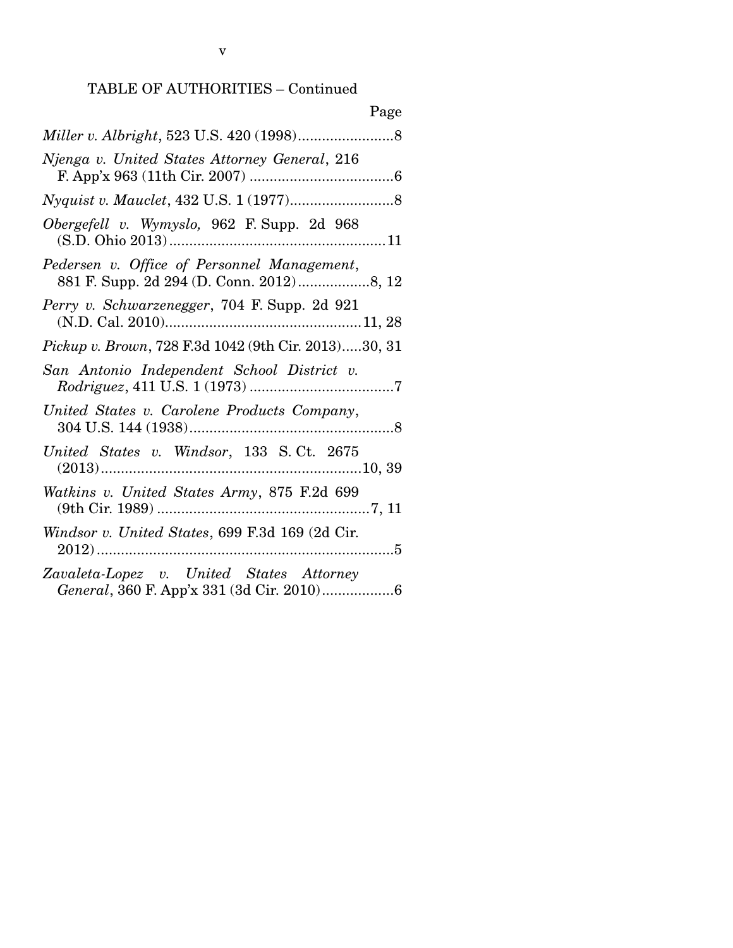| Page                                                 |
|------------------------------------------------------|
|                                                      |
| Njenga v. United States Attorney General, 216        |
|                                                      |
| Obergefell v. Wymyslo, 962 F. Supp. 2d 968           |
| Pedersen v. Office of Personnel Management,          |
| Perry v. Schwarzenegger, 704 F. Supp. 2d 921         |
| Pickup v. Brown, 728 F.3d 1042 (9th Cir. 2013)30, 31 |
| San Antonio Independent School District v.           |
| United States v. Carolene Products Company,          |
| United States v. Windsor, 133 S.Ct. 2675             |
| Watkins v. United States Army, 875 F.2d 699          |
| Windsor v. United States, 699 F.3d 169 (2d Cir.      |
| Zavaleta-Lopez v. United States Attorney             |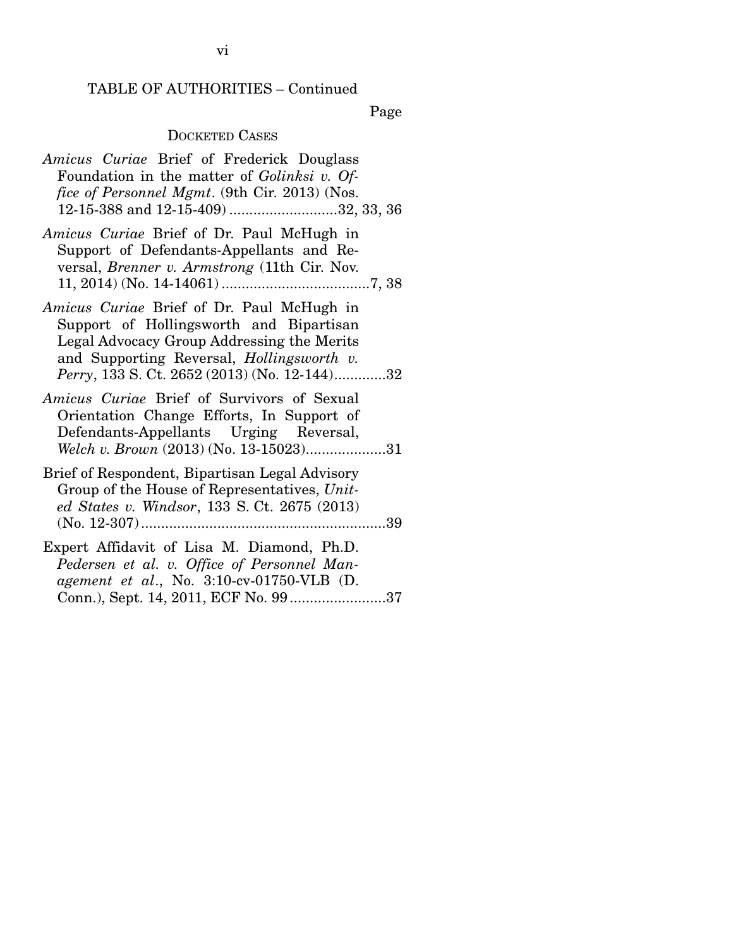Page

#### DOCKETED CASES

|  | Amicus Curiae Brief of Frederick Douglass            |  |  |
|--|------------------------------------------------------|--|--|
|  | Foundation in the matter of Golinksi v. Of-          |  |  |
|  | <i>fice of Personnel Mgmt.</i> (9th Cir. 2013) (Nos. |  |  |
|  | 12-15-388 and 12-15-409) 32, 33, 36                  |  |  |
|  |                                                      |  |  |

- *Amicus Curiae* Brief of Dr. Paul McHugh in Support of Defendants-Appellants and Reversal, *Brenner v. Armstrong* (11th Cir. Nov. 11, 2014) (No. 14-14061) ..................................... 7, 38
- *Amicus Curiae* Brief of Dr. Paul McHugh in Support of Hollingsworth and Bipartisan Legal Advocacy Group Addressing the Merits and Supporting Reversal, *Hollingsworth v. Perry*, 133 S. Ct. 2652 (2013) (No. 12-144) ............. 32
- *Amicus Curiae* Brief of Survivors of Sexual Orientation Change Efforts, In Support of Defendants-Appellants Urging Reversal, *Welch v. Brown* (2013) (No. 13-15023)....................31
- Brief of Respondent, Bipartisan Legal Advisory Group of the House of Representatives, *United States v. Windsor*, 133 S. Ct. 2675 (2013) (No. 12-307) ............................................................. 39

Expert Affidavit of Lisa M. Diamond, Ph.D. *Pedersen et al. v. Office of Personnel Management et al*., No. 3:10-cv-01750-VLB (D. Conn.), Sept. 14, 2011, ECF No. 99 ........................ 37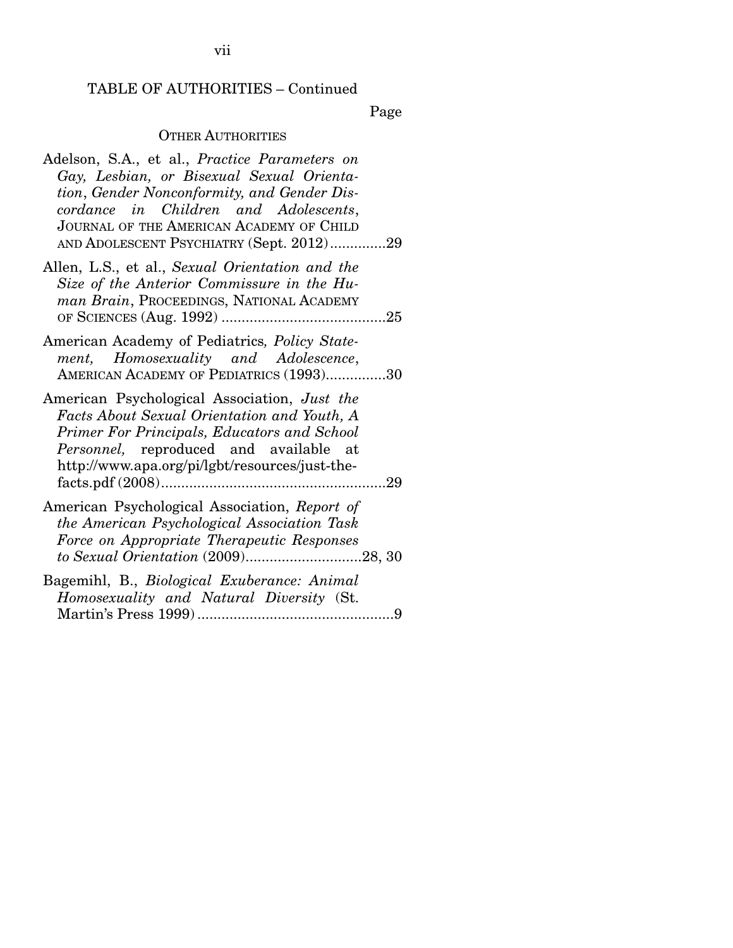Page

#### **OTHER AUTHORITIES**

- Adelson, S.A., et al., *Practice Parameters on Gay, Lesbian, or Bisexual Sexual Orientation*, *Gender Nonconformity, and Gender Discordance in Children and Adolescents*, JOURNAL OF THE AMERICAN ACADEMY OF CHILD AND ADOLESCENT PSYCHIATRY (Sept. 2012) .............. 29
- Allen, L.S., et al., *Sexual Orientation and the Size of the Anterior Commissure in the Human Brain*, PROCEEDINGS, NATIONAL ACADEMY OF SCIENCES (Aug. 1992) ......................................... 25
- American Academy of Pediatrics*, Policy Statement, Homosexuality and Adolescence*, AMERICAN ACADEMY OF PEDIATRICS (1993)...............30
- American Psychological Association, *Just the Facts About Sexual Orientation and Youth, A Primer For Principals, Educators and School Personnel,* reproduced and available at http://www.apa.org/pi/lgbt/resources/just-thefacts.pdf (2008) ........................................................ 29
- American Psychological Association, *Report of the American Psychological Association Task Force on Appropriate Therapeutic Responses to Sexual Orientation* (2009) ............................. 28, 30
- Bagemihl, B., *Biological Exuberance: Animal Homosexuality and Natural Diversity* (St. Martin's Press 1999) ................................................. 9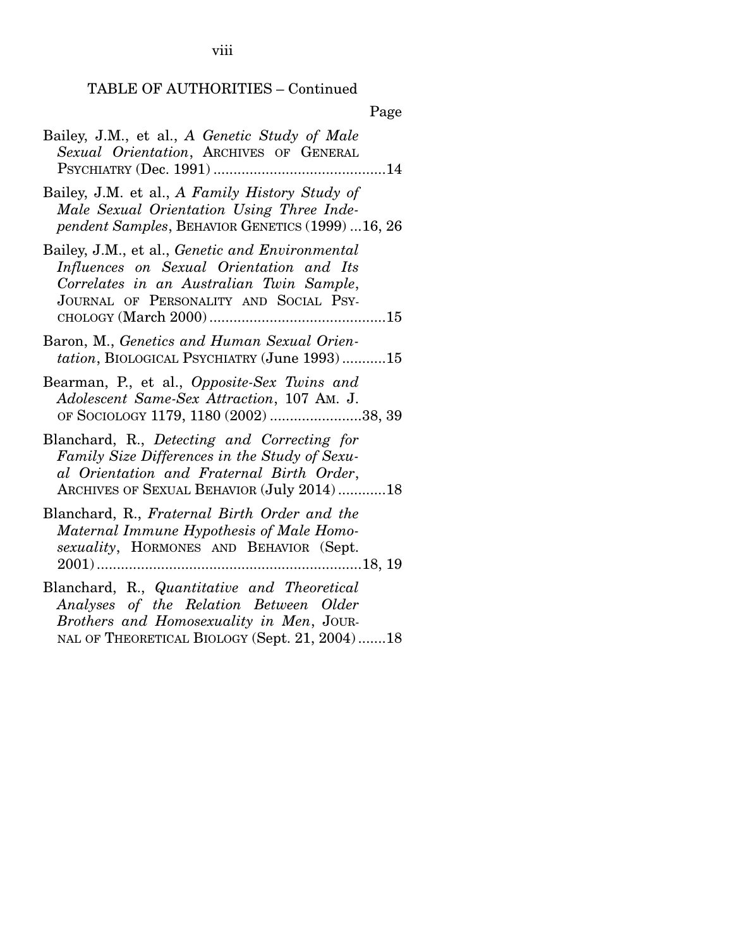viii

#### TABLE OF AUTHORITIES – Continued

Page

- Bailey, J.M., et al., *A Genetic Study of Male Sexual Orientation*, ARCHIVES OF GENERAL PSYCHIATRY (Dec. 1991) ........................................... 14
- Bailey, J.M. et al., *A Family History Study of Male Sexual Orientation Using Three Independent Samples*, BEHAVIOR GENETICS (1999) ... 16, 26
- Bailey, J.M., et al., *Genetic and Environmental Influences on Sexual Orientation and Its Correlates in an Australian Twin Sample*, JOURNAL OF PERSONALITY AND SOCIAL PSY-CHOLOGY (March 2000) ............................................ 15
- Baron, M., *Genetics and Human Sexual Orientation*, BIOLOGICAL PSYCHIATRY (June 1993) ........... 15
- Bearman, P., et al., *Opposite-Sex Twins and Adolescent Same-Sex Attraction*, 107 AM. J. OF SOCIOLOGY 1179, 1180 (2002) ....................... 38, 39
- Blanchard, R., *Detecting and Correcting for Family Size Differences in the Study of Sexual Orientation and Fraternal Birth Order*, ARCHIVES OF SEXUAL BEHAVIOR (July 2014) ............ 18
- Blanchard, R., *Fraternal Birth Order and the Maternal Immune Hypothesis of Male Homosexuality*, HORMONES AND BEHAVIOR (Sept. 2001) .................................................................. 18, 19
- Blanchard, R., *Quantitative and Theoretical Analyses of the Relation Between Older Brothers and Homosexuality in Men*, JOUR-NAL OF THEORETICAL BIOLOGY (Sept. 21, 2004) ....... 18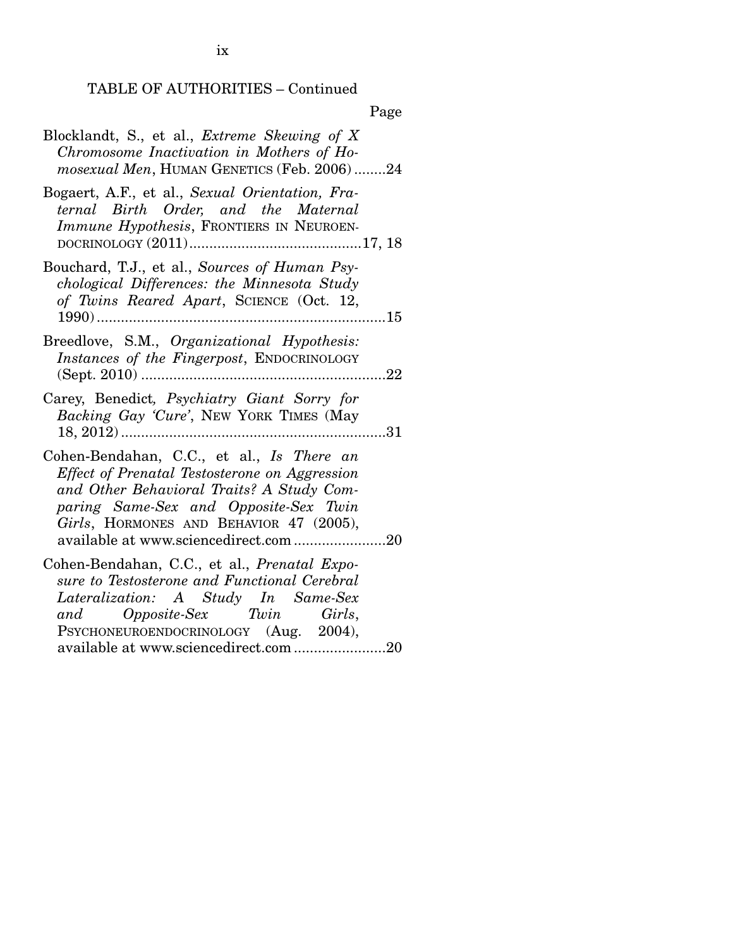|--|

| Blocklandt, S., et al., <i>Extreme Skewing of X</i> |
|-----------------------------------------------------|
| Chromosome Inactivation in Mothers of Ho-           |
| <i>mosexual Men</i> , HUMAN GENETICS (Feb. 2006)24  |

- Bogaert, A.F., et al., *Sexual Orientation, Fraternal Birth Order, and the Maternal Immune Hypothesis*, FRONTIERS IN NEUROEN-DOCRINOLOGY (2011) ........................................... 17, 18
- Bouchard, T.J., et al., *Sources of Human Psychological Differences: the Minnesota Study of Twins Reared Apart*, SCIENCE (Oct. 12, 1990) ........................................................................ 15
- Breedlove, S.M., *Organizational Hypothesis: Instances of the Fingerpost*, ENDOCRINOLOGY (Sept. 2010) ............................................................. 22
- Carey, Benedict*, Psychiatry Giant Sorry for Backing Gay 'Cure'*, NEW YORK TIMES (May 18, 2012) .................................................................. 31
- Cohen-Bendahan, C.C., et al., *Is There an Effect of Prenatal Testosterone on Aggression and Other Behavioral Traits? A Study Comparing Same-Sex and Opposite-Sex Twin Girls*, HORMONES AND BEHAVIOR 47 (2005), available at www.sciencedirect.com ....................... 20

Cohen-Bendahan, C.C., et al., *Prenatal Exposure to Testosterone and Functional Cerebral Lateralization: A Study In Same-Sex and Opposite-Sex Twin Girls*, PSYCHONEUROENDOCRINOLOGY (Aug. 2004), available at www.sciencedirect.com ....................... 20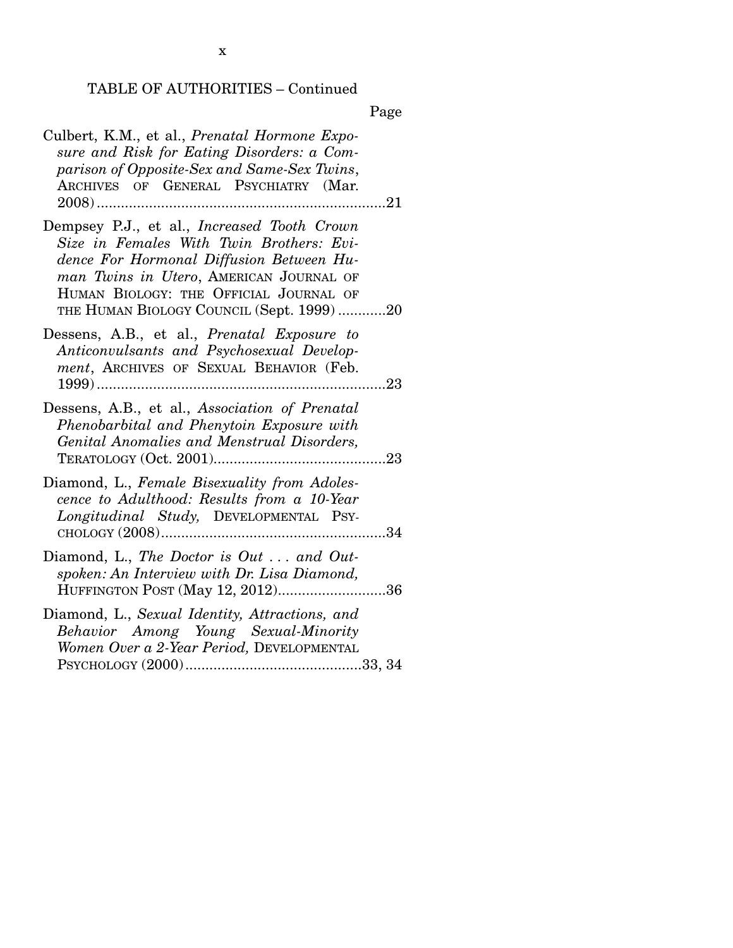Page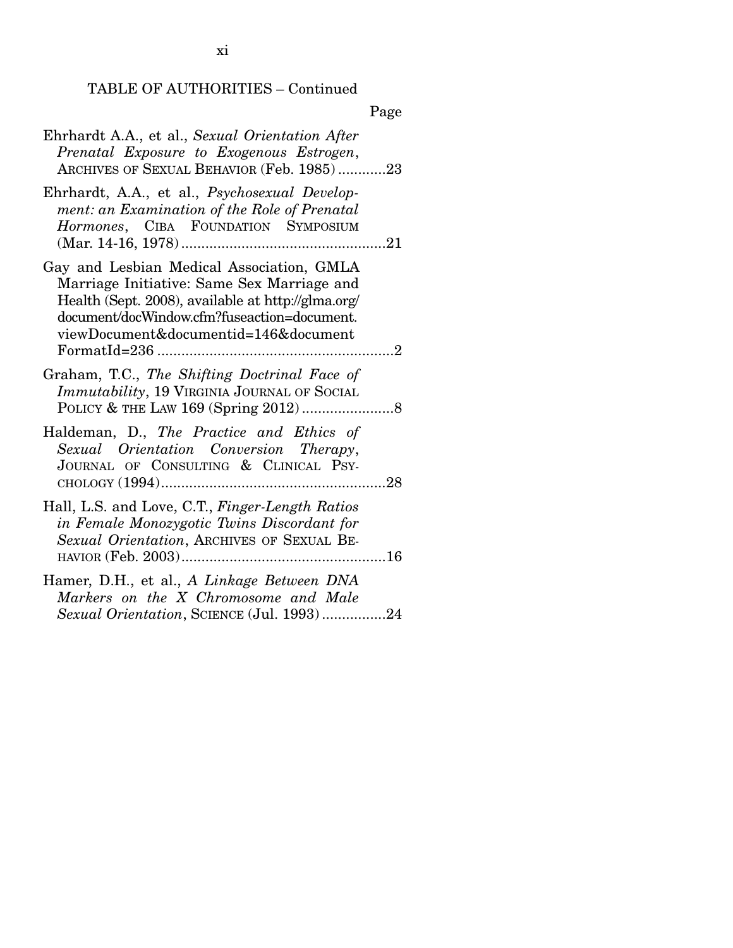# Page

| Ehrhardt A.A., et al., Sexual Orientation After<br>Prenatal Exposure to Exogenous Estrogen,<br>ARCHIVES OF SEXUAL BEHAVIOR (Feb. 1985)23                                                                                             |
|--------------------------------------------------------------------------------------------------------------------------------------------------------------------------------------------------------------------------------------|
| Ehrhardt, A.A., et al., Psychosexual Develop-<br>ment: an Examination of the Role of Prenatal<br>Hormones, CIBA FOUNDATION SYMPOSIUM                                                                                                 |
| Gay and Lesbian Medical Association, GMLA<br>Marriage Initiative: Same Sex Marriage and<br>Health (Sept. 2008), available at http://glma.org/<br>document/docWindow.cfm?fuseaction=document.<br>viewDocument&documentid=146&document |
| Graham, T.C., The Shifting Doctrinal Face of<br>Immutability, 19 VIRGINIA JOURNAL OF SOCIAL                                                                                                                                          |
| Haldeman, D., The Practice and Ethics of<br>Sexual Orientation Conversion Therapy,<br>JOURNAL OF CONSULTING & CLINICAL PSY-                                                                                                          |
| Hall, L.S. and Love, C.T., Finger-Length Ratios<br>in Female Monozygotic Twins Discordant for<br>Sexual Orientation, ARCHIVES OF SEXUAL BE-                                                                                          |
| Hamer, D.H., et al., A Linkage Between DNA<br>Markers on the X Chromosome and Male<br>Sexual Orientation, SCIENCE (Jul. 1993)24                                                                                                      |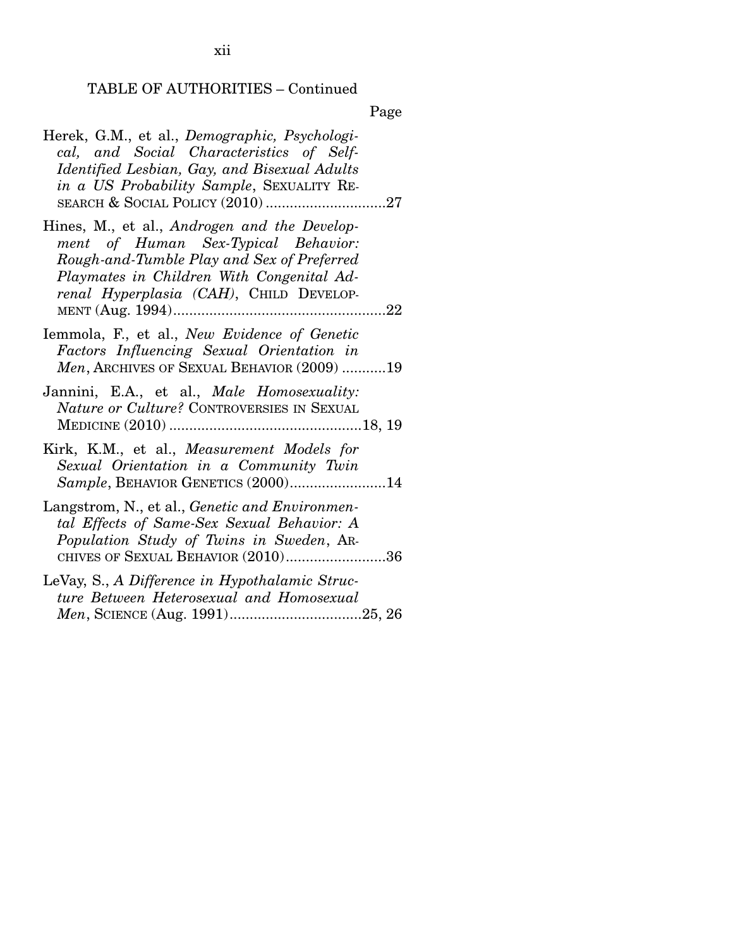Page

| Herek, G.M., et al., Demographic, Psychologi-<br>cal, and Social Characteristics of Self-<br>Identified Lesbian, Gay, and Bisexual Adults<br>in a US Probability Sample, SEXUALITY RE-                                    |
|---------------------------------------------------------------------------------------------------------------------------------------------------------------------------------------------------------------------------|
| Hines, M., et al., Androgen and the Develop-<br>ment of Human Sex-Typical Behavior:<br>Rough-and-Tumble Play and Sex of Preferred<br>Playmates in Children With Congenital Ad-<br>renal Hyperplasia (CAH), CHILD DEVELOP- |
| Iemmola, F., et al., New Evidence of Genetic<br>Factors Influencing Sexual Orientation in<br>Men, ARCHIVES OF SEXUAL BEHAVIOR (2009) 19                                                                                   |
| Jannini, E.A., et al., Male Homosexuality:<br>Nature or Culture? CONTROVERSIES IN SEXUAL                                                                                                                                  |
| Kirk, K.M., et al., Measurement Models for<br>Sexual Orientation in a Community Twin<br>Sample, BEHAVIOR GENETICS (2000)14                                                                                                |
| Langstrom, N., et al., Genetic and Environmen-<br>tal Effects of Same-Sex Sexual Behavior: A<br>Population Study of Twins in Sweden, AR-<br>CHIVES OF SEXUAL BEHAVIOR (2010)36                                            |
| LeVay, S., A Difference in Hypothalamic Struc-<br>ture Between Heterosexual and Homosexual                                                                                                                                |

xii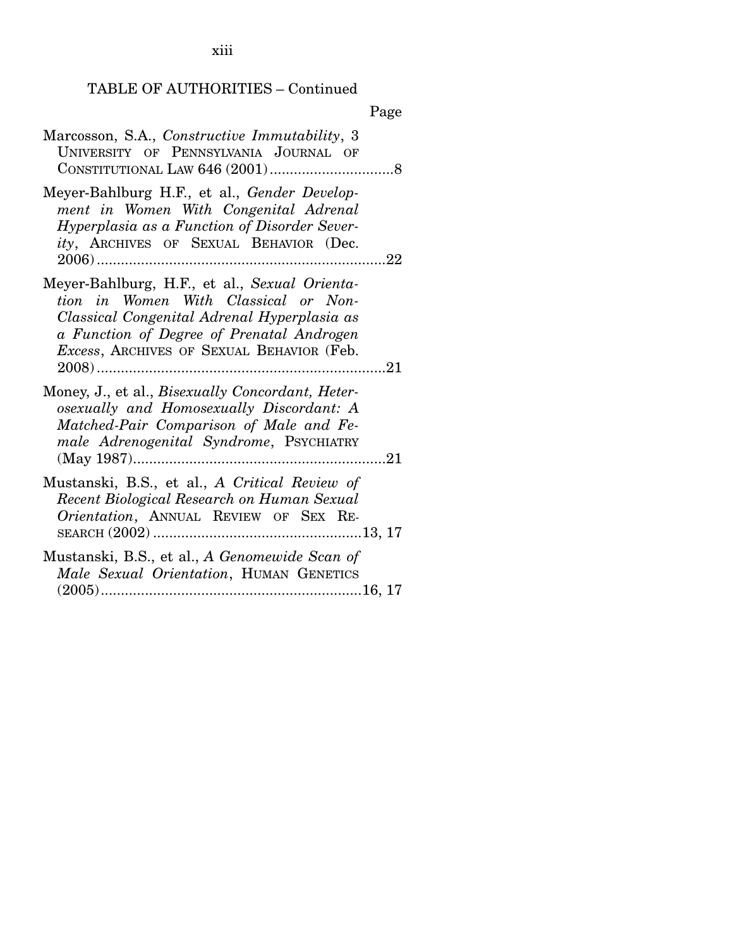xiii

### TABLE OF AUTHORITIES – Continued

|                                                                                                                                                                                                                                         | Page            |
|-----------------------------------------------------------------------------------------------------------------------------------------------------------------------------------------------------------------------------------------|-----------------|
| Marcosson, S.A., Constructive Immutability, 3<br>UNIVERSITY OF PENNSYLVANIA JOURNAL OF                                                                                                                                                  |                 |
| Meyer-Bahlburg H.F., et al., <i>Gender Develop-</i><br>ment in Women With Congenital Adrenal<br><i>Hyperplasia as a Function of Disorder Sever-</i><br><i>ity</i> , ARCHIVES OF SEXUAL BEHAVIOR (Dec.                                   | $\mathcal{L}22$ |
| Meyer-Bahlburg, H.F., et al., Sexual Orienta-<br>tion in Women With Classical or Non-<br>Classical Congenital Adrenal Hyperplasia as<br>a Function of Degree of Prenatal Androgen<br>Excess, ARCHIVES OF SEXUAL BEHAVIOR (Feb.<br>2008) |                 |

Money, J., et al., *Bisexually Concordant, Heterosexually and Homosexually Discordant: A Matched-Pair Comparison of Male and Female Adrenogenital Syndrome*, PSYCHIATRY (May 1987) ............................................................... 21

Mustanski, B.S., et al., *A Critical Review of Recent Biological Research on Human Sexual Orientation*, ANNUAL REVIEW OF SEX RE-SEARCH (2002) .................................................... 13, 17

Mustanski, B.S., et al., *A Genomewide Scan of Male Sexual Orientation*, HUMAN GENETICS (2005) ................................................................. 16, 17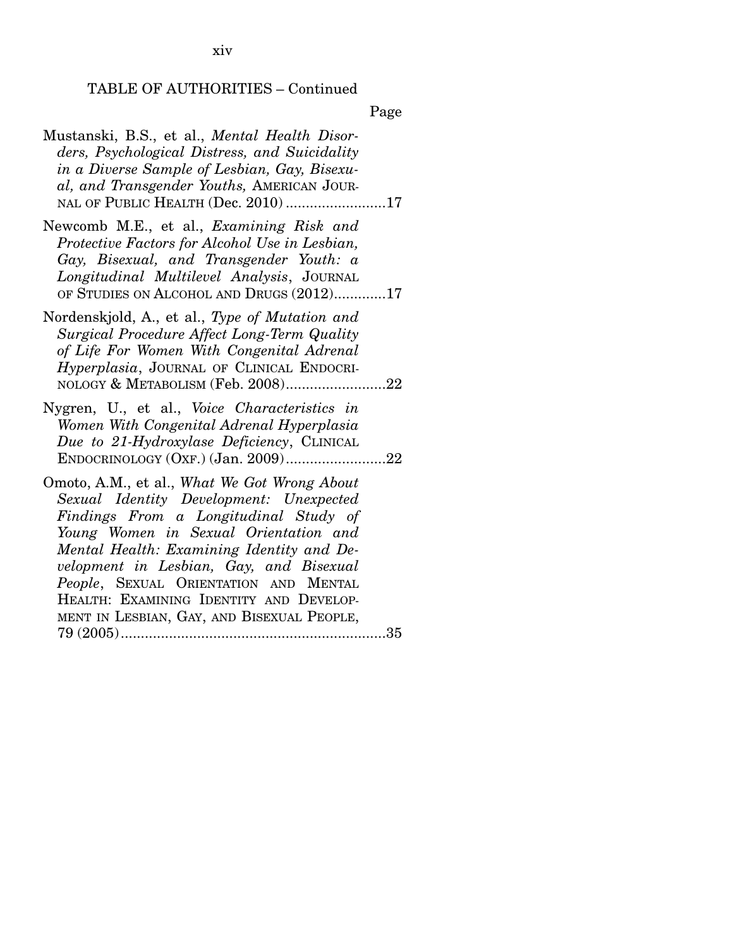xiv

#### TABLE OF AUTHORITIES – Continued

Page

- Mustanski, B.S., et al., *Mental Health Disorders, Psychological Distress, and Suicidality in a Diverse Sample of Lesbian, Gay, Bisexual, and Transgender Youths,* AMERICAN JOUR-NAL OF PUBLIC HEALTH (Dec. 2010) ......................... 17
- Newcomb M.E., et al., *Examining Risk and Protective Factors for Alcohol Use in Lesbian, Gay, Bisexual, and Transgender Youth: a Longitudinal Multilevel Analysis*, JOURNAL OF STUDIES ON ALCOHOL AND DRUGS  $(2012)$ .............17
- Nordenskjold, A., et al., *Type of Mutation and Surgical Procedure Affect Long-Term Quality of Life For Women With Congenital Adrenal Hyperplasia*, JOURNAL OF CLINICAL ENDOCRI-NOLOGY & METABOLISM (Feb. 2008)...........................22
- Nygren, U., et al., *Voice Characteristics in Women With Congenital Adrenal Hyperplasia Due to 21-Hydroxylase Deficiency*, CLINICAL ENDOCRINOLOGY (OXF.) (Jan. 2009) ......................... 22
- Omoto, A.M., et al., *What We Got Wrong About Sexual Identity Development: Unexpected Findings From a Longitudinal Study of Young Women in Sexual Orientation and Mental Health: Examining Identity and Development in Lesbian, Gay, and Bisexual People*, SEXUAL ORIENTATION AND MENTAL HEALTH: EXAMINING IDENTITY AND DEVELOP-MENT IN LESBIAN, GAY, AND BISEXUAL PEOPLE, 79 (2005) .................................................................. 35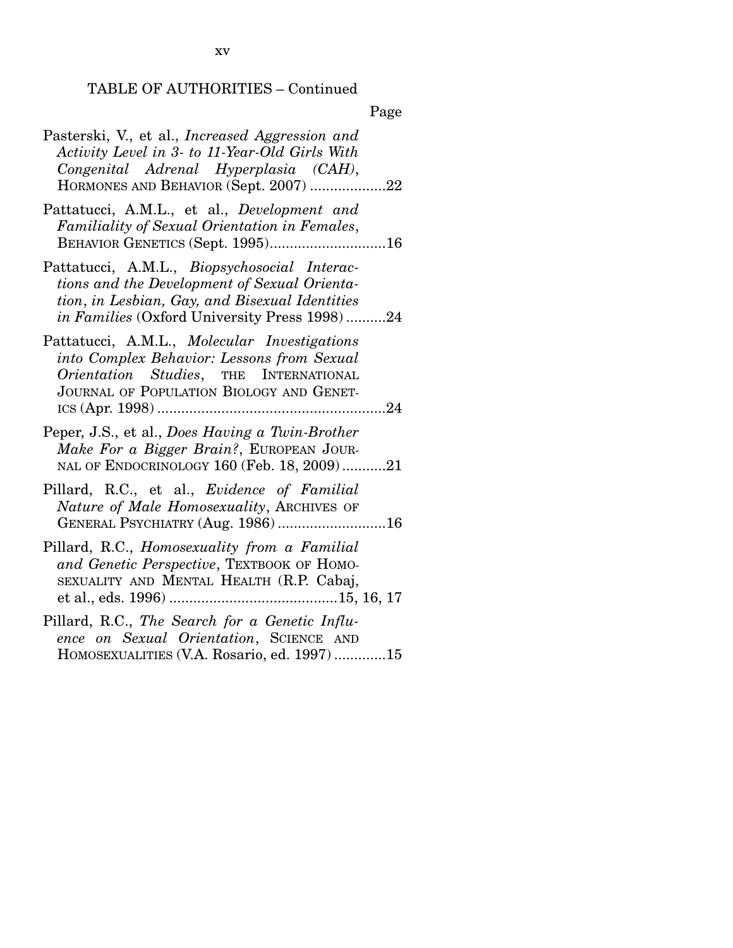Page

| Pasterski, V., et al., Increased Aggression and<br>Activity Level in 3- to 11-Year-Old Girls With<br>Congenital Adrenal Hyperplasia (CAH),<br>HORMONES AND BEHAVIOR (Sept. 2007) 22                    |
|--------------------------------------------------------------------------------------------------------------------------------------------------------------------------------------------------------|
| Pattatucci, A.M.L., et al., Development and<br>Familiality of Sexual Orientation in Females,<br><b>BEHAVIOR GENETICS (Sept. 1995)16</b>                                                                |
| Pattatucci, A.M.L., <i>Biopsychosocial Interac-</i><br>tions and the Development of Sexual Orienta-<br>tion, in Lesbian, Gay, and Bisexual Identities<br>in Families (Oxford University Press 1998) 24 |
| Pattatucci, A.M.L., Molecular Investigations<br>into Complex Behavior: Lessons from Sexual<br>Orientation Studies, THE INTERNATIONAL<br>JOURNAL OF POPULATION BIOLOGY AND GENET-                       |
| Peper, J.S., et al., Does Having a Twin-Brother<br>Make For a Bigger Brain?, EUROPEAN JOUR-<br>NAL OF ENDOCRINOLOGY 160 (Feb. 18, 2009)21                                                              |
| Pillard, R.C., et al., <i>Evidence of Familial</i><br>Nature of Male Homosexuality, ARCHIVES OF<br>GENERAL PSYCHIATRY (Aug. 1986) 16                                                                   |
| Pillard, R.C., Homosexuality from a Familial<br>and Genetic Perspective, TEXTBOOK OF HOMO-<br>SEXUALITY AND MENTAL HEALTH (R.P. Cabaj,                                                                 |
| Pillard, R.C., The Search for a Genetic Influ-<br>ence on Sexual Orientation, SCIENCE AND<br>HOMOSEXUALITIES (V.A. Rosario, ed. 1997)15                                                                |
|                                                                                                                                                                                                        |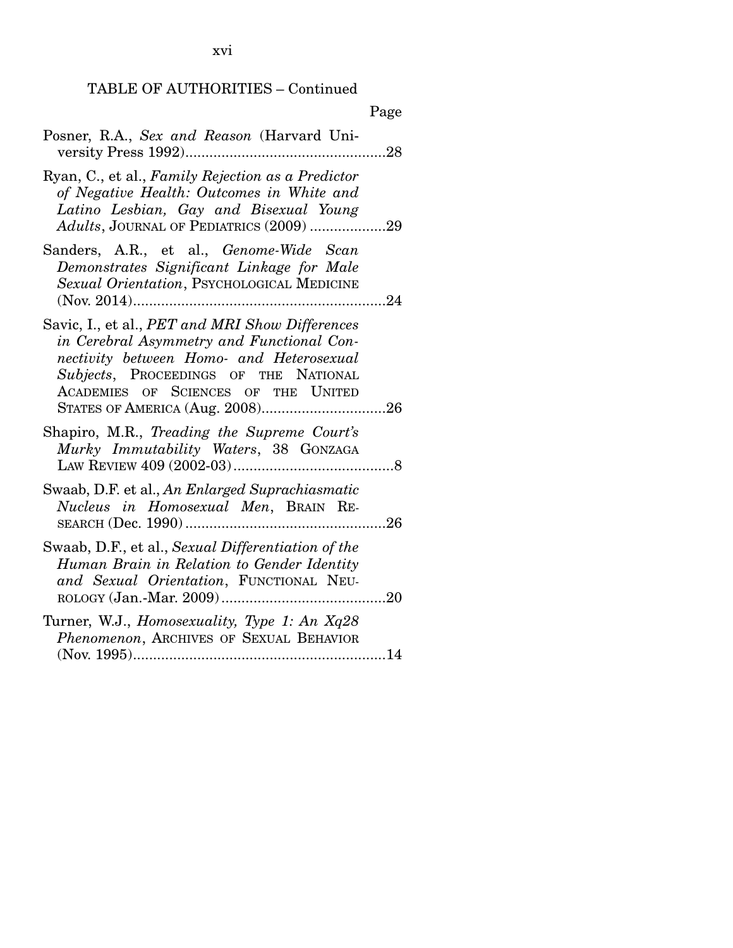| × |
|---|
|---|

|  |  | Posner, R.A., Sex and Reason (Harvard Uni- |  |
|--|--|--------------------------------------------|--|
|  |  |                                            |  |

- Ryan, C., et al., *Family Rejection as a Predictor of Negative Health: Outcomes in White and Latino Lesbian, Gay and Bisexual Young Adults*, JOURNAL OF PEDIATRICS (2009) ................... 29
- Sanders, A.R., et al., *Genome-Wide Scan Demonstrates Significant Linkage for Male Sexual Orientation*, PSYCHOLOGICAL MEDICINE (Nov. 2014) ............................................................... 24
- Savic, I., et al., *PET and MRI Show Differences in Cerebral Asymmetry and Functional Connectivity between Homo- and Heterosexual Subjects*, PROCEEDINGS OF THE NATIONAL ACADEMIES OF SCIENCES OF THE UNITED STATES OF AMERICA (Aug. 2008) ............................... 26
- Shapiro, M.R., *Treading the Supreme Court's Murky Immutability Waters*, 38 GONZAGA LAW REVIEW 409 (2002-03) ........................................ 8
- Swaab, D.F. et al., *An Enlarged Suprachiasmatic Nucleus in Homosexual Men*, BRAIN RE-SEARCH (Dec. 1990) .................................................. 26
- Swaab, D.F., et al., *Sexual Differentiation of the Human Brain in Relation to Gender Identity and Sexual Orientation*, FUNCTIONAL NEU-ROLOGY (Jan.-Mar. 2009) ......................................... 20
- Turner, W.J., *Homosexuality, Type 1: An Xq28 Phenomenon*, ARCHIVES OF SEXUAL BEHAVIOR (Nov. 1995) ............................................................... 14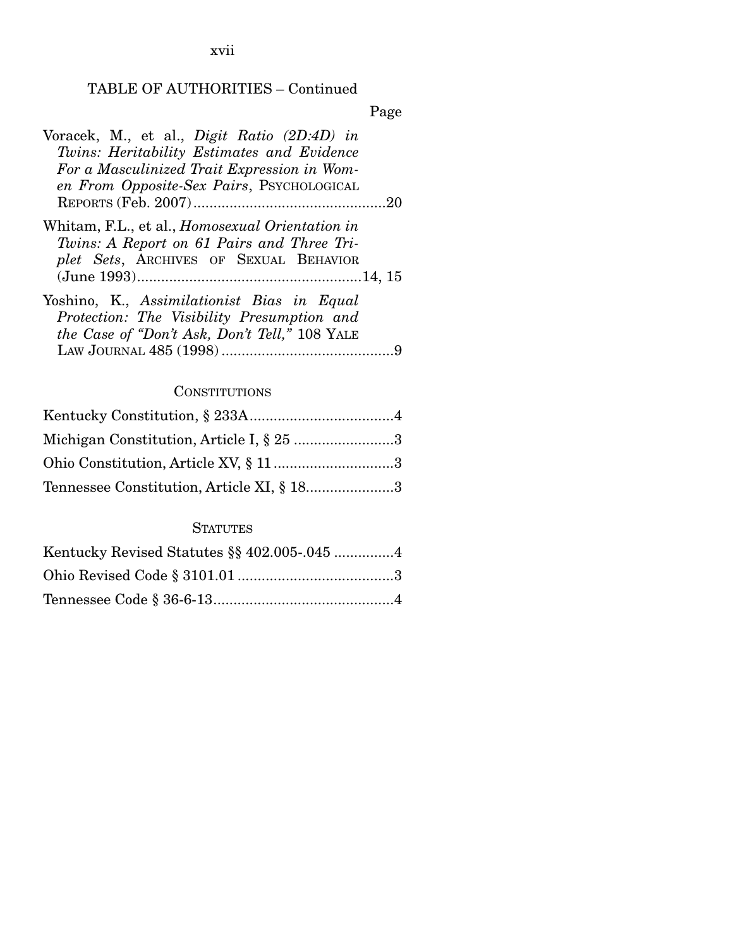xvii

## TABLE OF AUTHORITIES – Continued

Page

| Voracek, M., et al., <i>Digit Ratio (2D:4D) in</i><br>Twins: Heritability Estimates and Evidence<br>For a Masculinized Trait Expression in Wom-<br>en From Opposite-Sex Pairs, PSYCHOLOGICAL |
|----------------------------------------------------------------------------------------------------------------------------------------------------------------------------------------------|
|                                                                                                                                                                                              |
| Whitam, F.L., et al., <i>Homosexual Orientation in</i><br>Twins: A Report on 61 Pairs and Three Tri-<br>plet Sets, ARCHIVES OF SEXUAL BEHAVIOR                                               |
| Yoshino, K., Assimilationist Bias in Equal<br>Protection: The Visibility Presumption and<br>the Case of "Don't Ask, Don't Tell," 108 YALE                                                    |

## **CONSTITUTIONS**

| Michigan Constitution, Article I, § 25 3  |  |
|-------------------------------------------|--|
| Ohio Constitution, Article XV, § 113      |  |
| Tennessee Constitution, Article XI, § 183 |  |

## **STATUTES**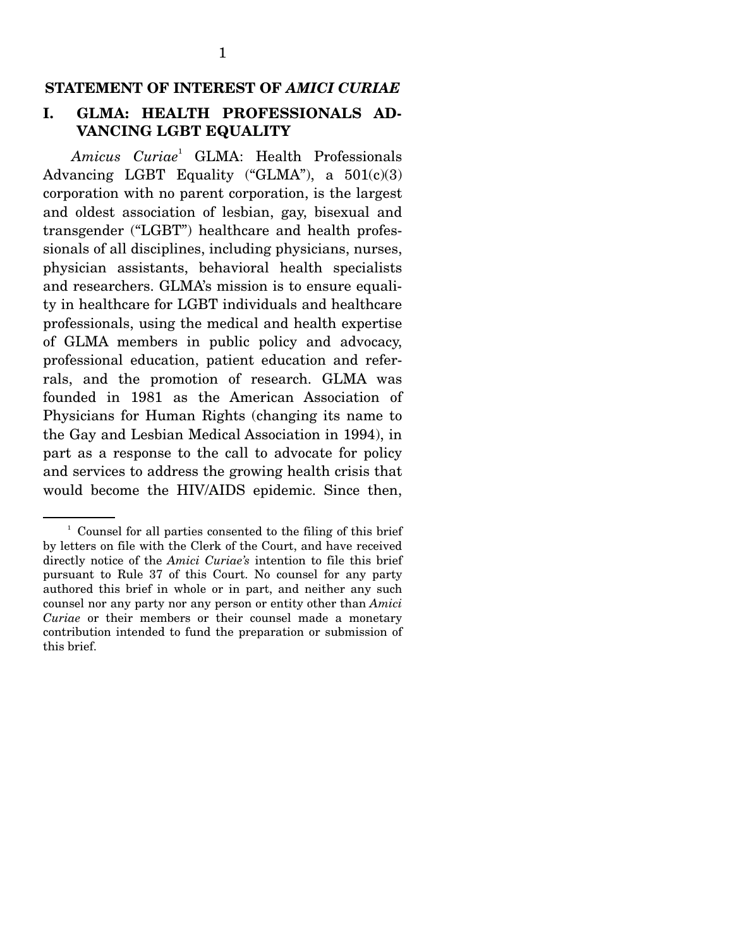#### **STATEMENT OF INTEREST OF** *AMICI CURIAE*

### **I. GLMA: HEALTH PROFESSIONALS AD-VANCING LGBT EQUALITY**

*Amicus Curiae*<sup>1</sup> GLMA: Health Professionals Advancing LGBT Equality ("GLMA"), a  $501(c)(3)$ corporation with no parent corporation, is the largest and oldest association of lesbian, gay, bisexual and transgender ("LGBT") healthcare and health professionals of all disciplines, including physicians, nurses, physician assistants, behavioral health specialists and researchers. GLMA's mission is to ensure equality in healthcare for LGBT individuals and healthcare professionals, using the medical and health expertise of GLMA members in public policy and advocacy, professional education, patient education and referrals, and the promotion of research. GLMA was founded in 1981 as the American Association of Physicians for Human Rights (changing its name to the Gay and Lesbian Medical Association in 1994), in part as a response to the call to advocate for policy and services to address the growing health crisis that would become the HIV/AIDS epidemic. Since then,

<sup>&</sup>lt;sup>1</sup> Counsel for all parties consented to the filing of this brief by letters on file with the Clerk of the Court, and have received directly notice of the *Amici Curiae's* intention to file this brief pursuant to Rule 37 of this Court. No counsel for any party authored this brief in whole or in part, and neither any such counsel nor any party nor any person or entity other than *Amici Curiae* or their members or their counsel made a monetary contribution intended to fund the preparation or submission of this brief.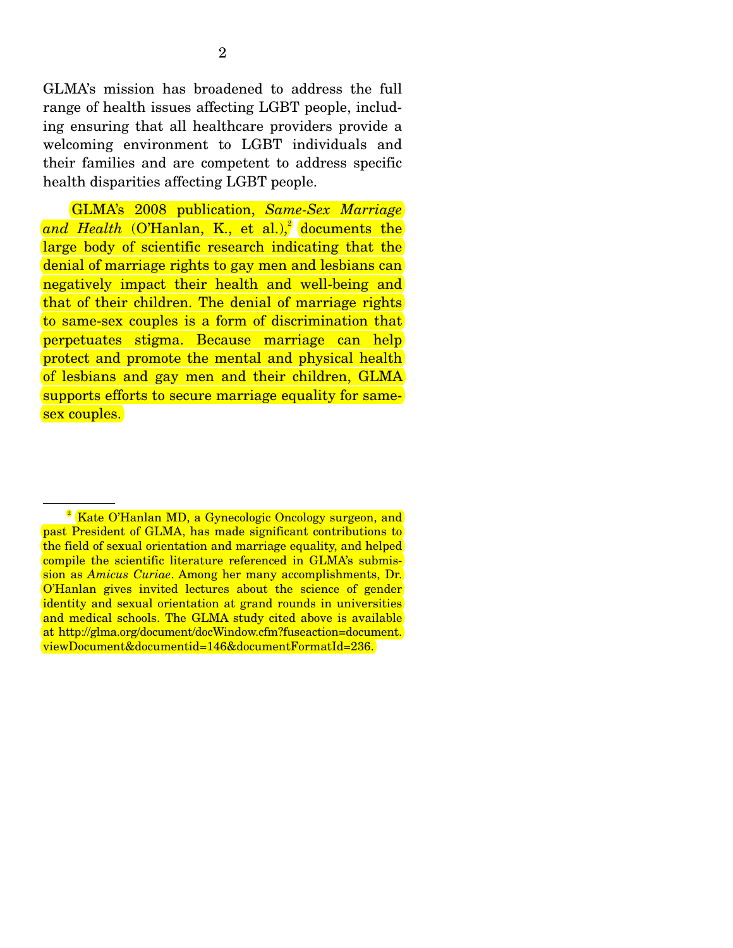GLMA's mission has broadened to address the full range of health issues affecting LGBT people, including ensuring that all healthcare providers provide a welcoming environment to LGBT individuals and their families and are competent to address specific health disparities affecting LGBT people.

 GLMA's 2008 publication, *Same-Sex Marriage*  and Health (O'Hanlan, K., et al.),<sup>2</sup> documents the large body of scientific research indicating that the denial of marriage rights to gay men and lesbians can negatively impact their health and well-being and that of their children. The denial of marriage rights to same-sex couples is a form of discrimination that perpetuates stigma. Because marriage can help protect and promote the mental and physical health of lesbians and gay men and their children, GLMA supports efforts to secure marriage equality for samesex couples.

<sup>&</sup>lt;sup>2</sup> Kate O'Hanlan MD, a Gynecologic Oncology surgeon, and past President of GLMA, has made significant contributions to the field of sexual orientation and marriage equality, and helped compile the scientific literature referenced in GLMA's submission as *Amicus Curiae*. Among her many accomplishments, Dr. O'Hanlan gives invited lectures about the science of gender identity and sexual orientation at grand rounds in universities and medical schools. The GLMA study cited above is available at http://glma.org/document/docWindow.cfm?fuseaction=document. viewDocument&documentid=146&documentFormatId=236.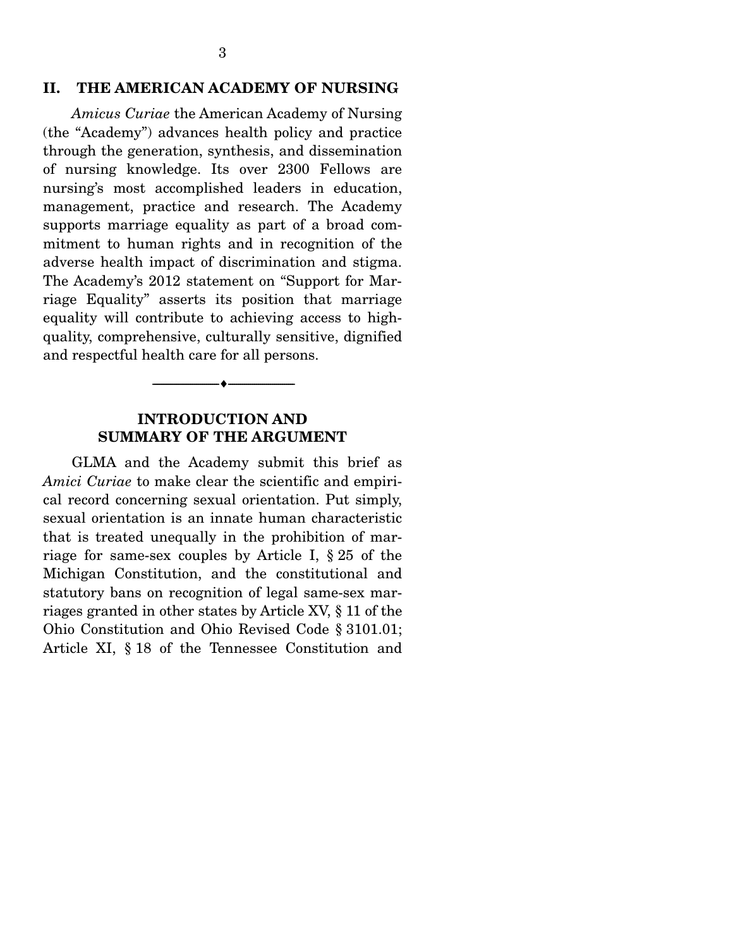#### **II. THE AMERICAN ACADEMY OF NURSING**

*Amicus Curiae* the American Academy of Nursing (the "Academy") advances health policy and practice through the generation, synthesis, and dissemination of nursing knowledge. Its over 2300 Fellows are nursing's most accomplished leaders in education, management, practice and research. The Academy supports marriage equality as part of a broad commitment to human rights and in recognition of the adverse health impact of discrimination and stigma. The Academy's 2012 statement on "Support for Marriage Equality" asserts its position that marriage equality will contribute to achieving access to highquality, comprehensive, culturally sensitive, dignified and respectful health care for all persons.

#### **INTRODUCTION AND SUMMARY OF THE ARGUMENT**

--------------------------------- ---------------------------------

 GLMA and the Academy submit this brief as *Amici Curiae* to make clear the scientific and empirical record concerning sexual orientation. Put simply, sexual orientation is an innate human characteristic that is treated unequally in the prohibition of marriage for same-sex couples by Article I, § 25 of the Michigan Constitution, and the constitutional and statutory bans on recognition of legal same-sex marriages granted in other states by Article XV, § 11 of the Ohio Constitution and Ohio Revised Code § 3101.01; Article XI, § 18 of the Tennessee Constitution and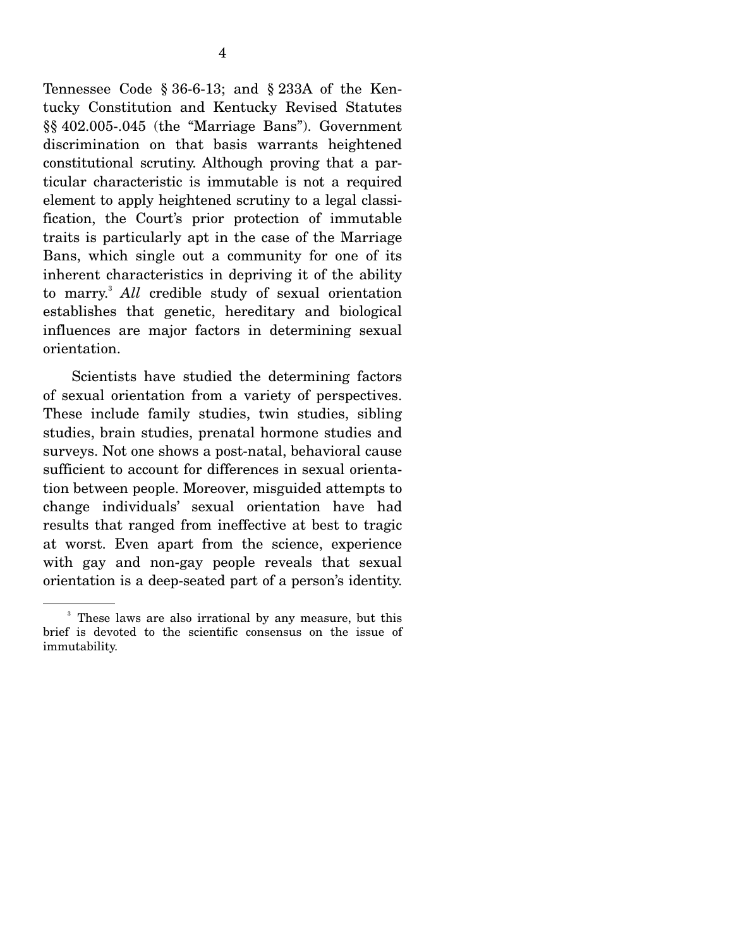Tennessee Code § 36-6-13; and § 233A of the Kentucky Constitution and Kentucky Revised Statutes §§ 402.005-.045 (the "Marriage Bans"). Government discrimination on that basis warrants heightened constitutional scrutiny. Although proving that a particular characteristic is immutable is not a required element to apply heightened scrutiny to a legal classification, the Court's prior protection of immutable traits is particularly apt in the case of the Marriage Bans, which single out a community for one of its inherent characteristics in depriving it of the ability to marry.3 *All* credible study of sexual orientation establishes that genetic, hereditary and biological influences are major factors in determining sexual orientation.

 Scientists have studied the determining factors of sexual orientation from a variety of perspectives. These include family studies, twin studies, sibling studies, brain studies, prenatal hormone studies and surveys. Not one shows a post-natal, behavioral cause sufficient to account for differences in sexual orientation between people. Moreover, misguided attempts to change individuals' sexual orientation have had results that ranged from ineffective at best to tragic at worst. Even apart from the science, experience with gay and non-gay people reveals that sexual orientation is a deep-seated part of a person's identity.

<sup>&</sup>lt;sup>3</sup> These laws are also irrational by any measure, but this brief is devoted to the scientific consensus on the issue of immutability.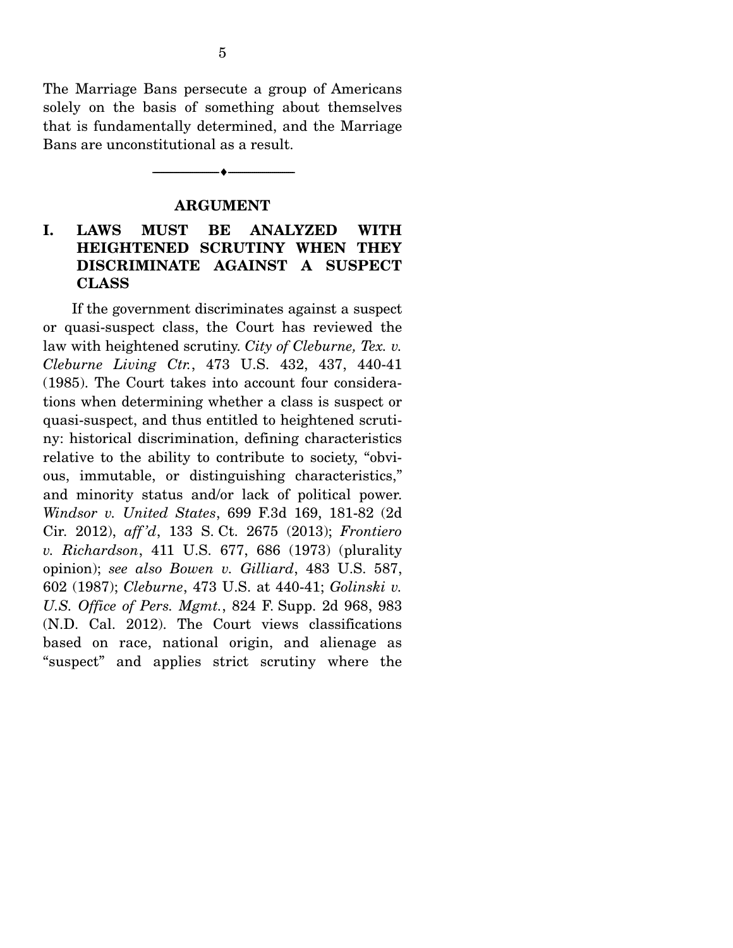The Marriage Bans persecute a group of Americans solely on the basis of something about themselves that is fundamentally determined, and the Marriage Bans are unconstitutional as a result.

#### **ARGUMENT**

--------------------------------- ---------------------------------

### **I. LAWS MUST BE ANALYZED WITH HEIGHTENED SCRUTINY WHEN THEY DISCRIMINATE AGAINST A SUSPECT CLASS**

 If the government discriminates against a suspect or quasi-suspect class, the Court has reviewed the law with heightened scrutiny. *City of Cleburne, Tex. v. Cleburne Living Ctr.*, 473 U.S. 432, 437, 440-41 (1985). The Court takes into account four considerations when determining whether a class is suspect or quasi-suspect, and thus entitled to heightened scrutiny: historical discrimination, defining characteristics relative to the ability to contribute to society, "obvious, immutable, or distinguishing characteristics," and minority status and/or lack of political power. *Windsor v. United States*, 699 F.3d 169, 181-82 (2d Cir. 2012), *aff 'd*, 133 S. Ct. 2675 (2013); *Frontiero v. Richardson*, 411 U.S. 677, 686 (1973) (plurality opinion); *see also Bowen v. Gilliard*, 483 U.S. 587, 602 (1987); *Cleburne*, 473 U.S. at 440-41; *Golinski v. U.S. Office of Pers. Mgmt.*, 824 F. Supp. 2d 968, 983 (N.D. Cal. 2012). The Court views classifications based on race, national origin, and alienage as "suspect" and applies strict scrutiny where the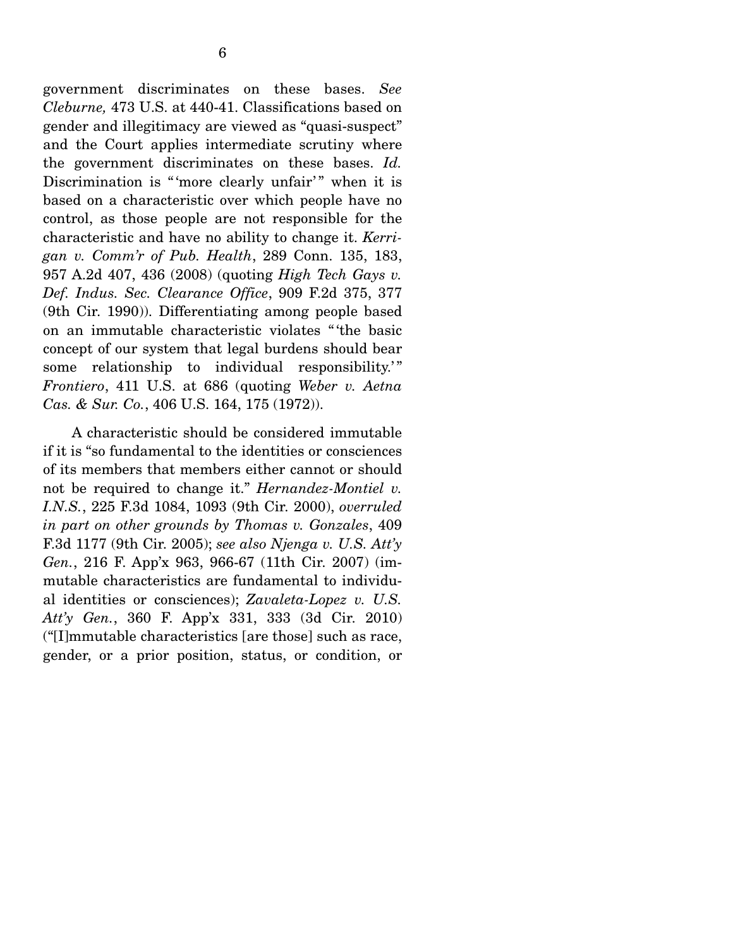government discriminates on these bases. *See Cleburne,* 473 U.S. at 440-41. Classifications based on gender and illegitimacy are viewed as "quasi-suspect" and the Court applies intermediate scrutiny where the government discriminates on these bases. *Id.* Discrimination is "more clearly unfair" when it is based on a characteristic over which people have no control, as those people are not responsible for the characteristic and have no ability to change it. *Kerrigan v. Comm'r of Pub. Health*, 289 Conn. 135, 183, 957 A.2d 407, 436 (2008) (quoting *High Tech Gays v. Def. Indus. Sec. Clearance Office*, 909 F.2d 375, 377 (9th Cir. 1990)). Differentiating among people based on an immutable characteristic violates " 'the basic concept of our system that legal burdens should bear some relationship to individual responsibility." *Frontiero*, 411 U.S. at 686 (quoting *Weber v. Aetna Cas. & Sur. Co.*, 406 U.S. 164, 175 (1972)).

 A characteristic should be considered immutable if it is "so fundamental to the identities or consciences of its members that members either cannot or should not be required to change it." *Hernandez-Montiel v. I.N.S.*, 225 F.3d 1084, 1093 (9th Cir. 2000), *overruled in part on other grounds by Thomas v. Gonzales*, 409 F.3d 1177 (9th Cir. 2005); *see also Njenga v. U.S. Att'y Gen.*, 216 F. App'x 963, 966-67 (11th Cir. 2007) (immutable characteristics are fundamental to individual identities or consciences); *Zavaleta-Lopez v. U.S. Att'y Gen.*, 360 F. App'x 331, 333 (3d Cir. 2010) ("[I]mmutable characteristics [are those] such as race, gender, or a prior position, status, or condition, or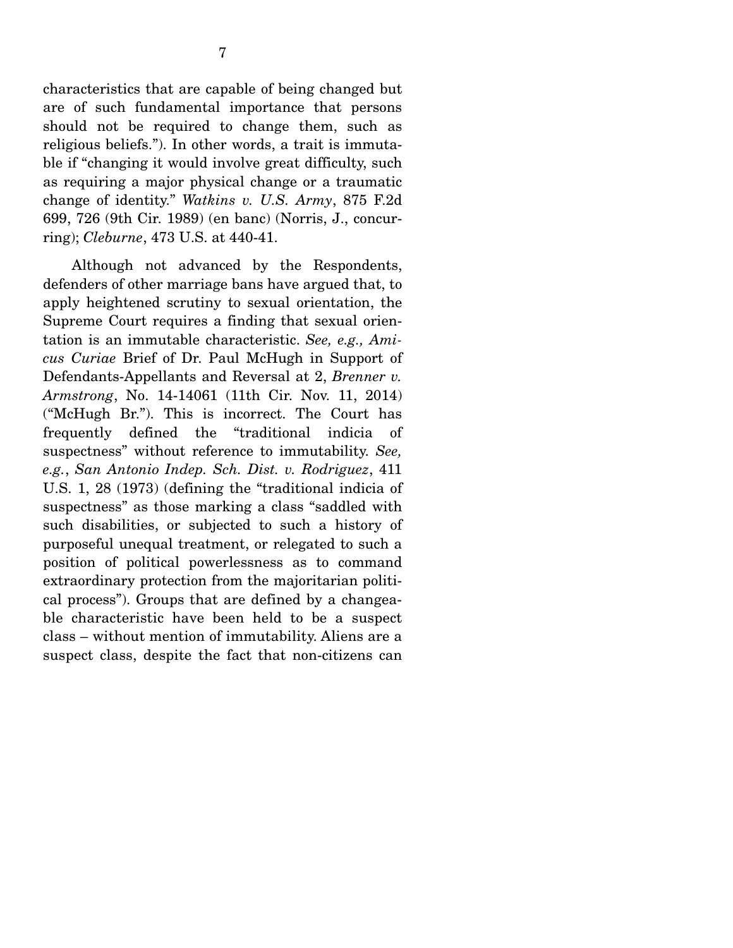characteristics that are capable of being changed but are of such fundamental importance that persons should not be required to change them, such as religious beliefs."). In other words, a trait is immutable if "changing it would involve great difficulty, such as requiring a major physical change or a traumatic change of identity." *Watkins v. U.S. Army*, 875 F.2d 699, 726 (9th Cir. 1989) (en banc) (Norris, J., concurring); *Cleburne*, 473 U.S. at 440-41.

 Although not advanced by the Respondents, defenders of other marriage bans have argued that, to apply heightened scrutiny to sexual orientation, the Supreme Court requires a finding that sexual orientation is an immutable characteristic. *See, e.g., Amicus Curiae* Brief of Dr. Paul McHugh in Support of Defendants-Appellants and Reversal at 2, *Brenner v. Armstrong*, No. 14-14061 (11th Cir. Nov. 11, 2014) ("McHugh Br."). This is incorrect. The Court has frequently defined the "traditional indicia of suspectness" without reference to immutability. *See, e.g.*, *San Antonio Indep. Sch. Dist. v. Rodriguez*, 411 U.S. 1, 28 (1973) (defining the "traditional indicia of suspectness" as those marking a class "saddled with such disabilities, or subjected to such a history of purposeful unequal treatment, or relegated to such a position of political powerlessness as to command extraordinary protection from the majoritarian political process"). Groups that are defined by a changeable characteristic have been held to be a suspect class – without mention of immutability. Aliens are a suspect class, despite the fact that non-citizens can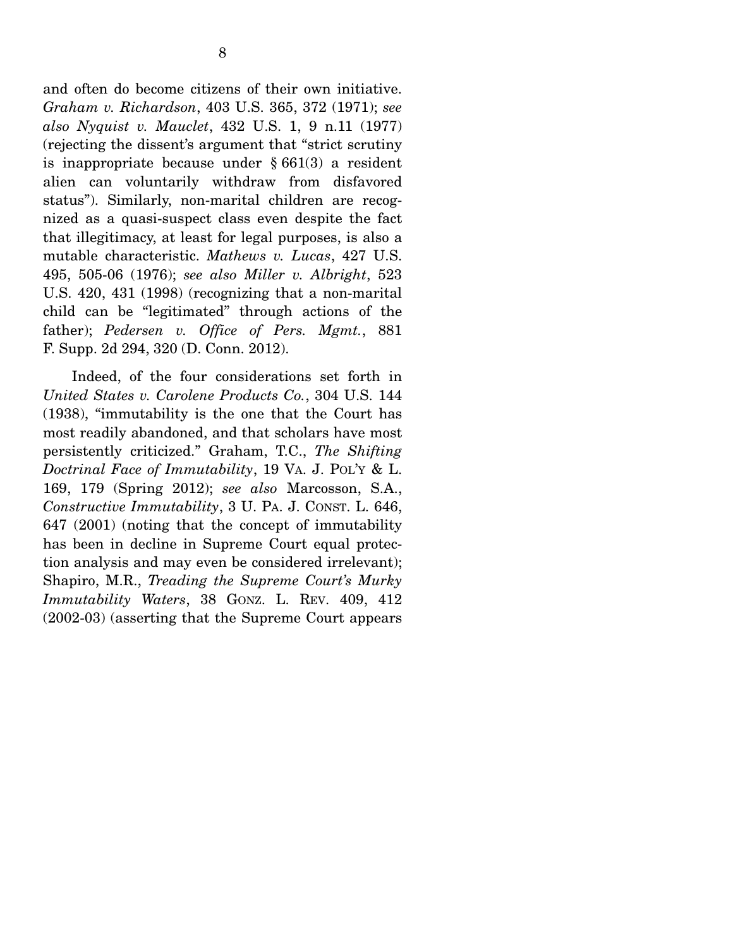and often do become citizens of their own initiative. *Graham v. Richardson*, 403 U.S. 365, 372 (1971); *see also Nyquist v. Mauclet*, 432 U.S. 1, 9 n.11 (1977) (rejecting the dissent's argument that "strict scrutiny is inappropriate because under  $\S 661(3)$  a resident alien can voluntarily withdraw from disfavored status"). Similarly, non-marital children are recognized as a quasi-suspect class even despite the fact that illegitimacy, at least for legal purposes, is also a mutable characteristic. *Mathews v. Lucas*, 427 U.S. 495, 505-06 (1976); *see also Miller v. Albright*, 523 U.S. 420, 431 (1998) (recognizing that a non-marital child can be "legitimated" through actions of the father); *Pedersen v. Office of Pers. Mgmt.*, 881 F. Supp. 2d 294, 320 (D. Conn. 2012).

 Indeed, of the four considerations set forth in *United States v. Carolene Products Co.*, 304 U.S. 144 (1938), "immutability is the one that the Court has most readily abandoned, and that scholars have most persistently criticized." Graham, T.C., *The Shifting Doctrinal Face of Immutability*, 19 VA. J. POL'Y & L. 169, 179 (Spring 2012); *see also* Marcosson, S.A., *Constructive Immutability*, 3 U. PA. J. CONST. L. 646, 647 (2001) (noting that the concept of immutability has been in decline in Supreme Court equal protection analysis and may even be considered irrelevant); Shapiro, M.R., *Treading the Supreme Court's Murky Immutability Waters*, 38 GONZ. L. REV. 409, 412 (2002-03) (asserting that the Supreme Court appears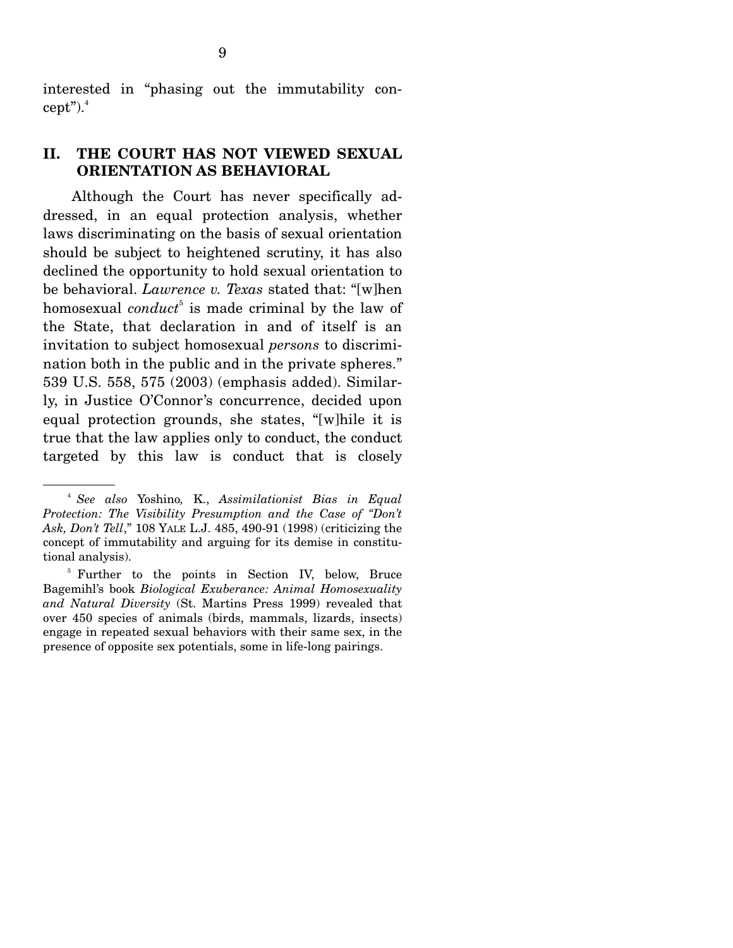interested in "phasing out the immutability concept"). $4$ 

#### **II. THE COURT HAS NOT VIEWED SEXUAL ORIENTATION AS BEHAVIORAL**

 Although the Court has never specifically addressed, in an equal protection analysis, whether laws discriminating on the basis of sexual orientation should be subject to heightened scrutiny, it has also declined the opportunity to hold sexual orientation to be behavioral. *Lawrence v. Texas* stated that: "[w]hen homosexual *conduct*<sup>5</sup> is made criminal by the law of the State, that declaration in and of itself is an invitation to subject homosexual *persons* to discrimination both in the public and in the private spheres." 539 U.S. 558, 575 (2003) (emphasis added). Similarly, in Justice O'Connor's concurrence, decided upon equal protection grounds, she states, "[w]hile it is true that the law applies only to conduct, the conduct targeted by this law is conduct that is closely

<sup>4</sup>  *See also* Yoshino*,* K., *Assimilationist Bias in Equal Protection: The Visibility Presumption and the Case of "Don't Ask, Don't Tell*," 108 YALE L.J. 485, 490-91 (1998) (criticizing the concept of immutability and arguing for its demise in constitutional analysis).

<sup>&</sup>lt;sup>5</sup> Further to the points in Section IV, below, Bruce Bagemihl's book *Biological Exuberance: Animal Homosexuality and Natural Diversity* (St. Martins Press 1999) revealed that over 450 species of animals (birds, mammals, lizards, insects) engage in repeated sexual behaviors with their same sex, in the presence of opposite sex potentials, some in life-long pairings.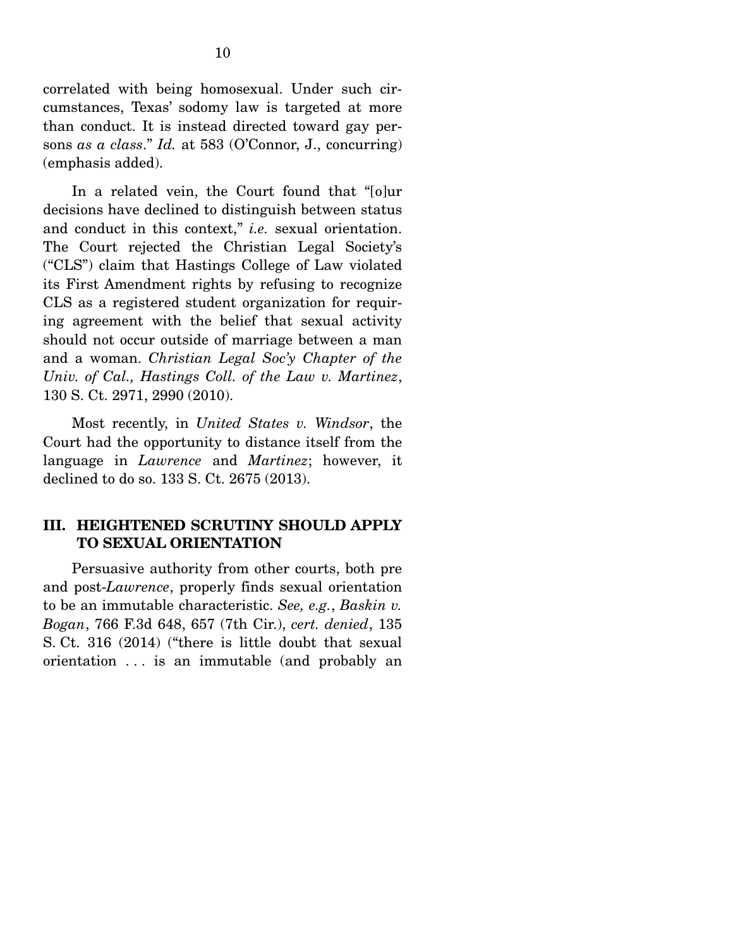correlated with being homosexual. Under such circumstances, Texas' sodomy law is targeted at more than conduct. It is instead directed toward gay persons *as a class*." *Id.* at 583 (O'Connor, J., concurring) (emphasis added).

 In a related vein, the Court found that "[o]ur decisions have declined to distinguish between status and conduct in this context," *i.e.* sexual orientation. The Court rejected the Christian Legal Society's ("CLS") claim that Hastings College of Law violated its First Amendment rights by refusing to recognize CLS as a registered student organization for requiring agreement with the belief that sexual activity should not occur outside of marriage between a man and a woman. *Christian Legal Soc'y Chapter of the Univ. of Cal., Hastings Coll. of the Law v. Martinez*, 130 S. Ct. 2971, 2990 (2010).

 Most recently, in *United States v. Windsor*, the Court had the opportunity to distance itself from the language in *Lawrence* and *Martinez*; however, it declined to do so. 133 S. Ct. 2675 (2013).

#### **III. HEIGHTENED SCRUTINY SHOULD APPLY TO SEXUAL ORIENTATION**

 Persuasive authority from other courts, both pre and post-*Lawrence*, properly finds sexual orientation to be an immutable characteristic. *See, e.g.*, *Baskin v. Bogan*, 766 F.3d 648, 657 (7th Cir.), *cert. denied*, 135 S. Ct. 316 (2014) ("there is little doubt that sexual orientation . . . is an immutable (and probably an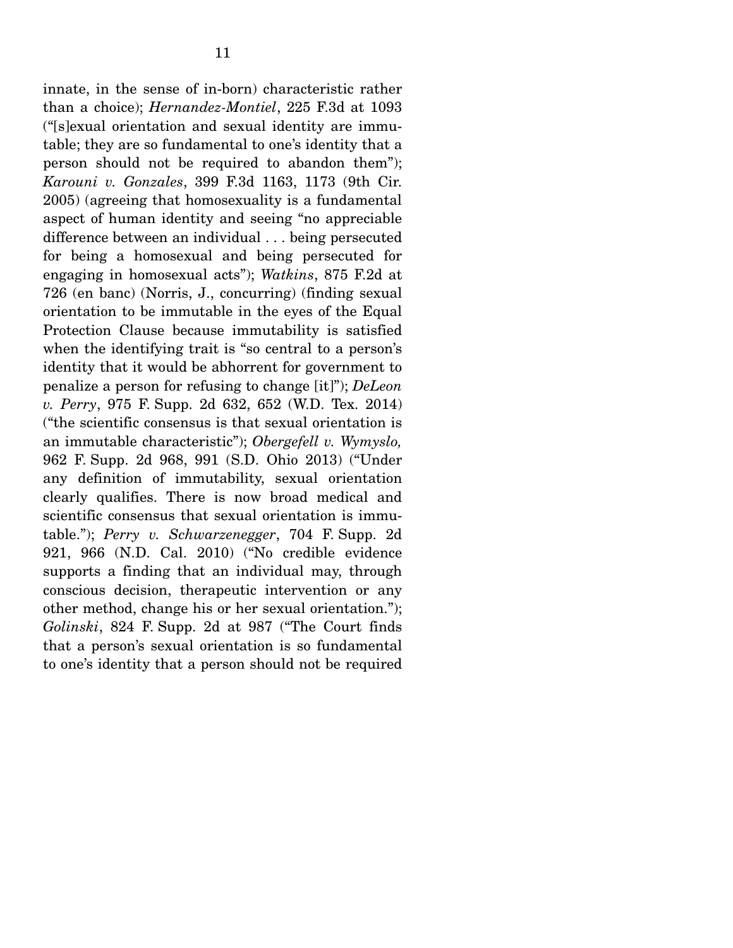innate, in the sense of in-born) characteristic rather than a choice); *Hernandez-Montiel*, 225 F.3d at 1093 ("[s]exual orientation and sexual identity are immutable; they are so fundamental to one's identity that a person should not be required to abandon them"); *Karouni v. Gonzales*, 399 F.3d 1163, 1173 (9th Cir. 2005) (agreeing that homosexuality is a fundamental aspect of human identity and seeing "no appreciable difference between an individual . . . being persecuted for being a homosexual and being persecuted for engaging in homosexual acts"); *Watkins*, 875 F.2d at 726 (en banc) (Norris, J., concurring) (finding sexual orientation to be immutable in the eyes of the Equal Protection Clause because immutability is satisfied when the identifying trait is "so central to a person's identity that it would be abhorrent for government to penalize a person for refusing to change [it]"); *DeLeon v. Perry*, 975 F. Supp. 2d 632, 652 (W.D. Tex. 2014) ("the scientific consensus is that sexual orientation is an immutable characteristic"); *Obergefell v. Wymyslo,*  962 F. Supp. 2d 968, 991 (S.D. Ohio 2013) ("Under any definition of immutability, sexual orientation clearly qualifies. There is now broad medical and scientific consensus that sexual orientation is immutable."); *Perry v. Schwarzenegger*, 704 F. Supp. 2d 921, 966 (N.D. Cal. 2010) ("No credible evidence supports a finding that an individual may, through conscious decision, therapeutic intervention or any other method, change his or her sexual orientation."); *Golinski*, 824 F. Supp. 2d at 987 ("The Court finds that a person's sexual orientation is so fundamental to one's identity that a person should not be required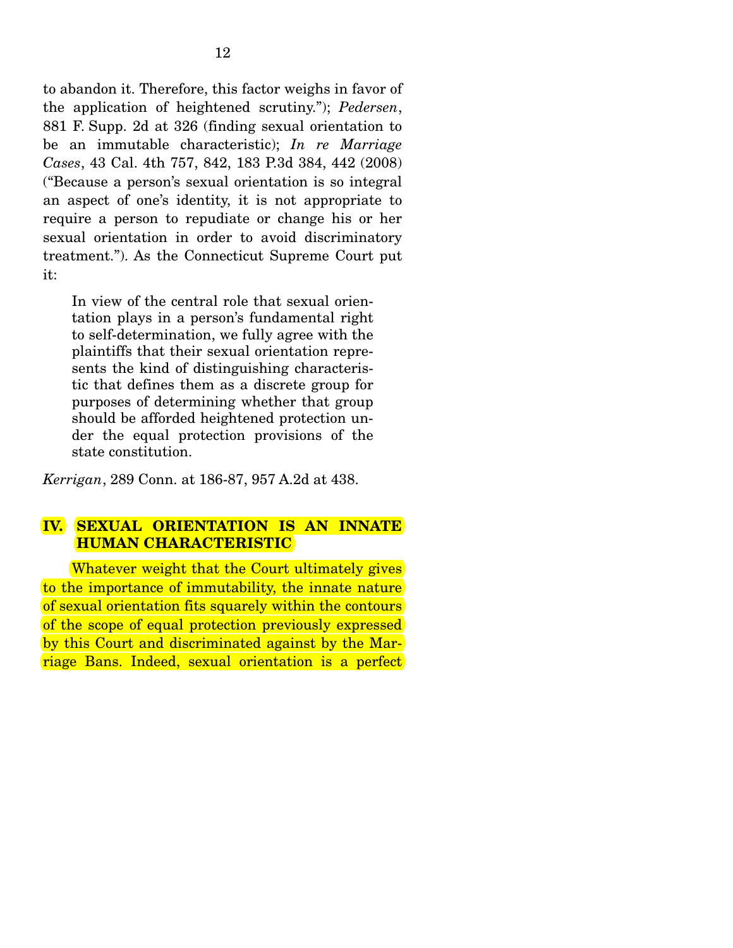to abandon it. Therefore, this factor weighs in favor of the application of heightened scrutiny."); *Pedersen*, 881 F. Supp. 2d at 326 (finding sexual orientation to be an immutable characteristic); *In re Marriage Cases*, 43 Cal. 4th 757, 842, 183 P.3d 384, 442 (2008) ("Because a person's sexual orientation is so integral an aspect of one's identity, it is not appropriate to require a person to repudiate or change his or her sexual orientation in order to avoid discriminatory treatment."). As the Connecticut Supreme Court put it:

In view of the central role that sexual orientation plays in a person's fundamental right to self-determination, we fully agree with the plaintiffs that their sexual orientation represents the kind of distinguishing characteristic that defines them as a discrete group for purposes of determining whether that group should be afforded heightened protection under the equal protection provisions of the state constitution.

*Kerrigan*, 289 Conn. at 186-87, 957 A.2d at 438.

## **IV. SEXUAL ORIENTATION IS AN INNATE HUMAN CHARACTERISTIC**

Whatever weight that the Court ultimately gives to the importance of immutability, the innate nature of sexual orientation fits squarely within the contours of the scope of equal protection previously expressed by this Court and discriminated against by the Marriage Bans. Indeed, sexual orientation is a perfect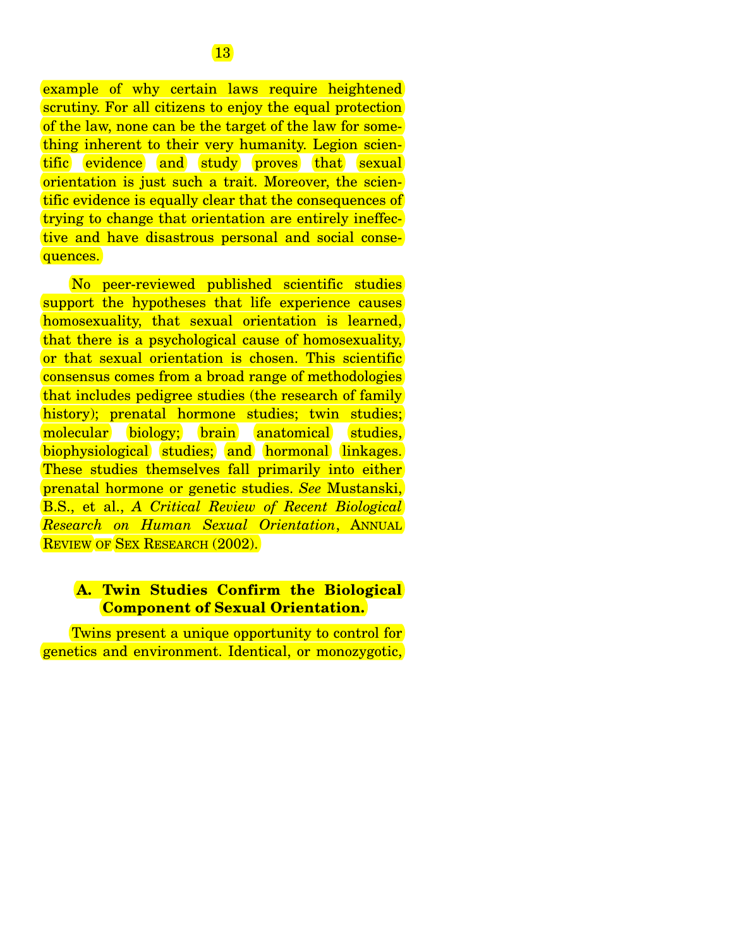example of why certain laws require heightened scrutiny. For all citizens to enjoy the equal protection of the law, none can be the target of the law for something inherent to their very humanity. Legion scientific evidence and study proves that sexual orientation is just such a trait. Moreover, the scientific evidence is equally clear that the consequences of trying to change that orientation are entirely ineffective and have disastrous personal and social consequences.

 No peer-reviewed published scientific studies support the hypotheses that life experience causes homosexuality, that sexual orientation is learned, that there is a psychological cause of homosexuality, or that sexual orientation is chosen. This scientific consensus comes from a broad range of methodologies that includes pedigree studies (the research of family history); prenatal hormone studies; twin studies; molecular biology; brain anatomical studies, biophysiological studies; and hormonal linkages. These studies themselves fall primarily into either prenatal hormone or genetic studies. *See* Mustanski, B.S., et al., *A Critical Review of Recent Biological Research on Human Sexual Orientation*, ANNUAL REVIEW OF SEX RESEARCH (2002).

#### **A. Twin Studies Confirm the Biological Component of Sexual Orientation.**

 Twins present a unique opportunity to control for genetics and environment. Identical, or monozygotic,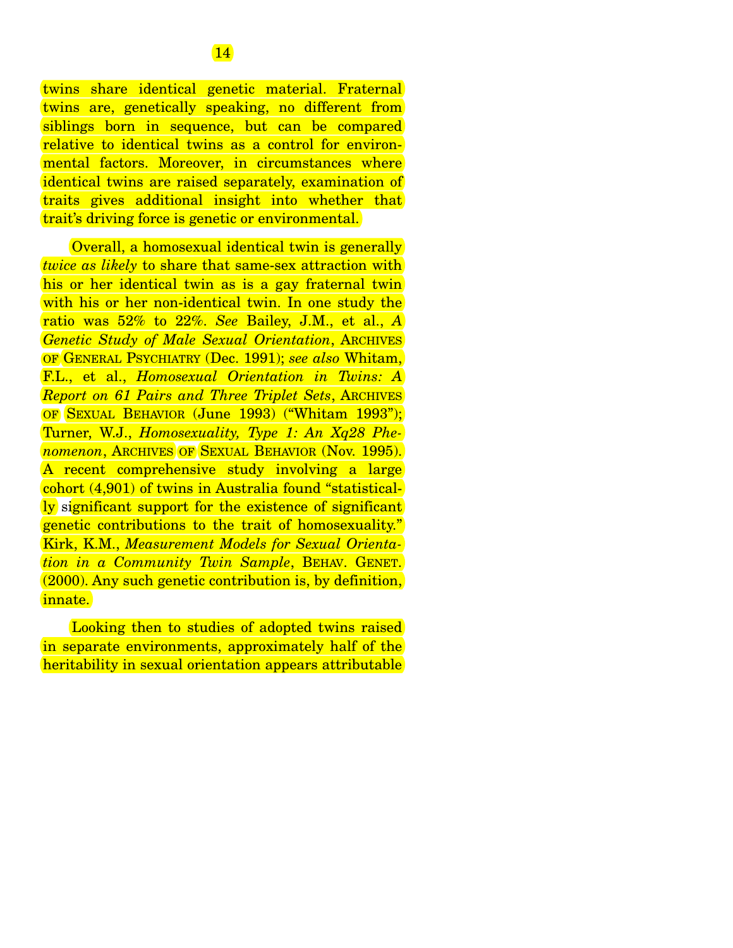twins share identical genetic material. Fraternal twins are, genetically speaking, no different from siblings born in sequence, but can be compared relative to identical twins as a control for environmental factors. Moreover, in circumstances where identical twins are raised separately, examination of traits gives additional insight into whether that trait's driving force is genetic or environmental.

 Overall, a homosexual identical twin is generally *twice as likely* to share that same-sex attraction with his or her identical twin as is a gay fraternal twin with his or her non-identical twin. In one study the ratio was 52% to 22%. *See* Bailey, J.M., et al., *A Genetic Study of Male Sexual Orientation*, ARCHIVES OF GENERAL PSYCHIATRY (Dec. 1991); *see also* Whitam, F.L., et al., *Homosexual Orientation in Twins: A Report on 61 Pairs and Three Triplet Sets*, ARCHIVES OF SEXUAL BEHAVIOR (June 1993) ("Whitam 1993"); Turner, W.J., *Homosexuality, Type 1: An Xq28 Phenomenon*, ARCHIVES OF SEXUAL BEHAVIOR (Nov. 1995). A recent comprehensive study involving a large cohort (4,901) of twins in Australia found "statistically significant support for the existence of significant genetic contributions to the trait of homosexuality." Kirk, K.M., *Measurement Models for Sexual Orientation in a Community Twin Sample*, BEHAV. GENET. (2000). Any such genetic contribution is, by definition, innate.

 Looking then to studies of adopted twins raised in separate environments, approximately half of the heritability in sexual orientation appears attributable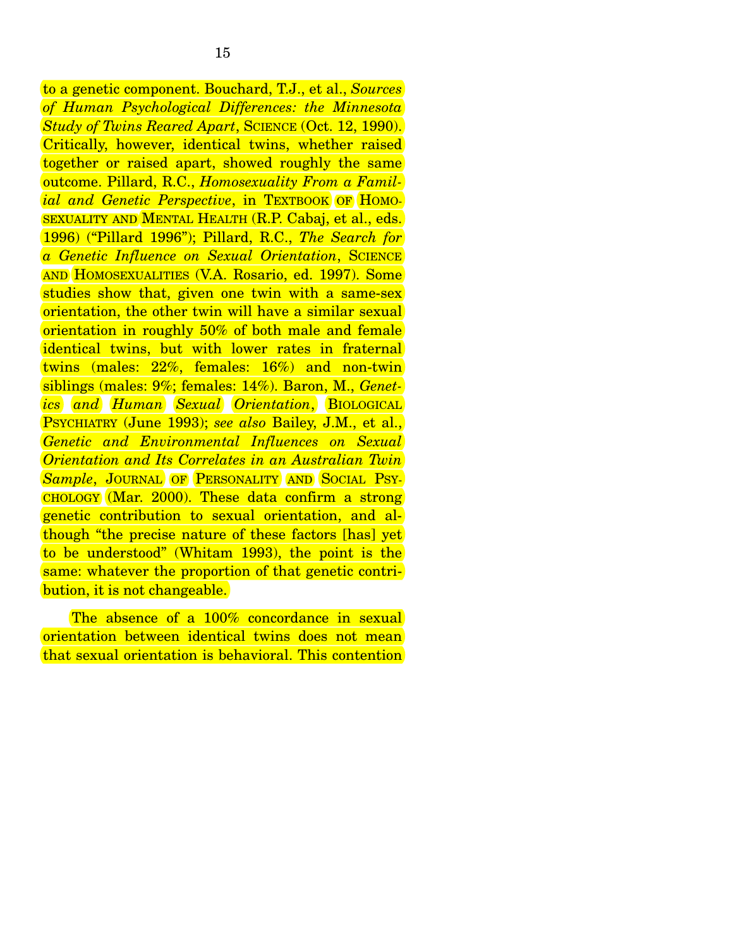to a genetic component. Bouchard, T.J., et al., *Sources of Human Psychological Differences: the Minnesota Study of Twins Reared Apart*, SCIENCE (Oct. 12, 1990). Critically, however, identical twins, whether raised together or raised apart, showed roughly the same outcome. Pillard, R.C., *Homosexuality From a Familial and Genetic Perspective*, in TEXTBOOK OF HOMO-SEXUALITY AND MENTAL HEALTH (R.P. Cabaj, et al., eds. 1996) ("Pillard 1996"); Pillard, R.C., *The Search for a Genetic Influence on Sexual Orientation*, SCIENCE AND HOMOSEXUALITIES (V.A. Rosario, ed. 1997). Some studies show that, given one twin with a same-sex orientation, the other twin will have a similar sexual orientation in roughly 50% of both male and female identical twins, but with lower rates in fraternal twins (males: 22%, females: 16%) and non-twin siblings (males: 9%; females: 14%). Baron, M., *Genetics and Human Sexual Orientation*, BIOLOGICAL PSYCHIATRY (June 1993); *see also* Bailey, J.M., et al., *Genetic and Environmental Influences on Sexual Orientation and Its Correlates in an Australian Twin*  **Sample**, JOURNAL OF **PERSONALITY** AND SOCIAL PSY-CHOLOGY (Mar. 2000). These data confirm a strong genetic contribution to sexual orientation, and although "the precise nature of these factors [has] yet to be understood" (Whitam 1993), the point is the same: whatever the proportion of that genetic contribution, it is not changeable.

The absence of a 100% concordance in sexual orientation between identical twins does not mean that sexual orientation is behavioral. This contention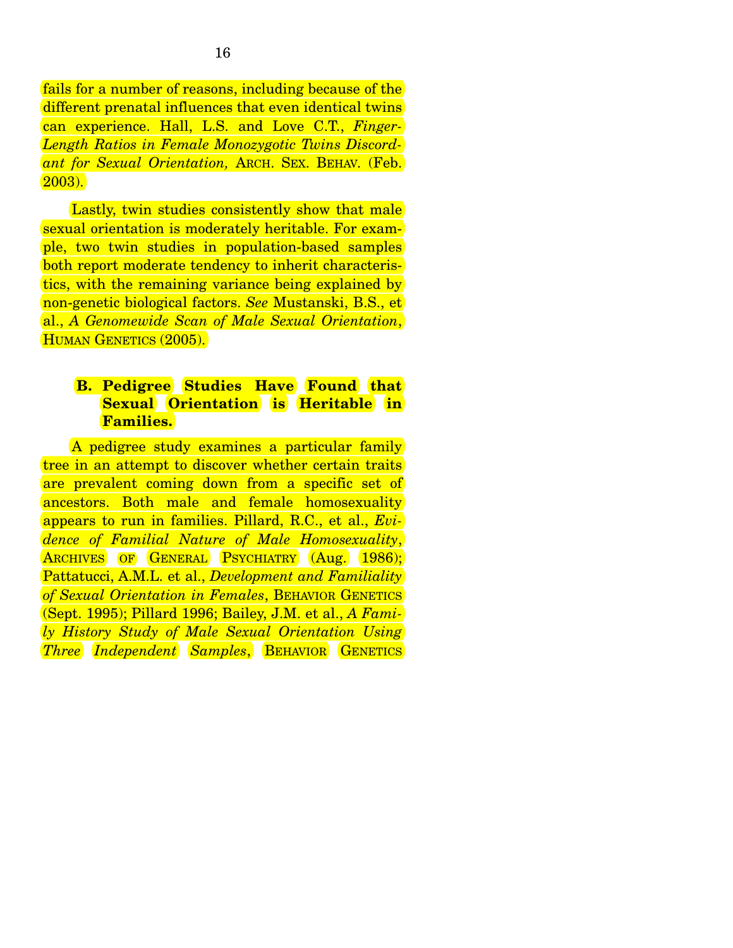fails for a number of reasons, including because of the different prenatal influences that even identical twins can experience. Hall, L.S. and Love C.T., *Finger-Length Ratios in Female Monozygotic Twins Discordant for Sexual Orientation,* ARCH. SEX. BEHAV*.* (Feb. 2003).

Lastly, twin studies consistently show that male sexual orientation is moderately heritable. For example, two twin studies in population-based samples both report moderate tendency to inherit characteristics, with the remaining variance being explained by non-genetic biological factors. *See* Mustanski, B.S., et al., *A Genomewide Scan of Male Sexual Orientation*, HUMAN GENETICS (2005).

## **B. Pedigree Studies Have Found that Sexual Orientation is Heritable in Families.**

 A pedigree study examines a particular family tree in an attempt to discover whether certain traits are prevalent coming down from a specific set of ancestors. Both male and female homosexuality appears to run in families. Pillard, R.C., et al., *Evidence of Familial Nature of Male Homosexuality*, ARCHIVES OF GENERAL PSYCHIATRY (Aug. 1986); Pattatucci, A.M.L. et al., *Development and Familiality of Sexual Orientation in Females*, BEHAVIOR GENETICS (Sept. 1995); Pillard 1996; Bailey, J.M. et al., *A Family History Study of Male Sexual Orientation Using Three Independent Samples*, BEHAVIOR GENETICS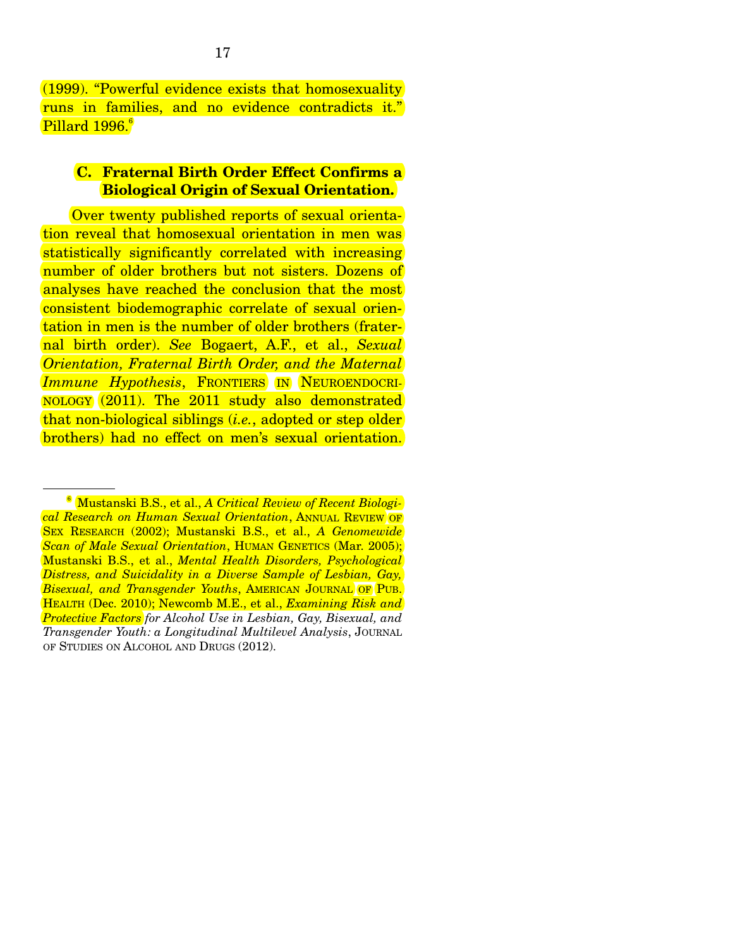(1999). "Powerful evidence exists that homosexuality runs in families, and no evidence contradicts it." Pillard 1996.<sup>6</sup>

#### **C. Fraternal Birth Order Effect Confirms a Biological Origin of Sexual Orientation.**

 Over twenty published reports of sexual orientation reveal that homosexual orientation in men was statistically significantly correlated with increasing number of older brothers but not sisters. Dozens of analyses have reached the conclusion that the most consistent biodemographic correlate of sexual orientation in men is the number of older brothers (fraternal birth order). *See* Bogaert, A.F., et al., *Sexual Orientation, Fraternal Birth Order, and the Maternal Immune Hypothesis*, FRONTIERS IN NEUROENDOCRI-NOLOGY (2011). The 2011 study also demonstrated that non-biological siblings (*i.e.*, adopted or step older brothers) had no effect on men's sexual orientation.

<sup>6</sup> Mustanski B.S., et al., *A Critical Review of Recent Biological Research on Human Sexual Orientation*, ANNUAL REVIEW OF SEX RESEARCH (2002); Mustanski B.S., et al., *A Genomewide Scan of Male Sexual Orientation*, HUMAN GENETICS (Mar. 2005); Mustanski B.S., et al., *Mental Health Disorders, Psychological Distress, and Suicidality in a Diverse Sample of Lesbian, Gay, Bisexual, and Transgender Youths*, AMERICAN JOURNAL OF PUB. HEALTH (Dec. 2010); Newcomb M.E., et al., *Examining Risk and Protective Factors for Alcohol Use in Lesbian, Gay, Bisexual, and Transgender Youth: a Longitudinal Multilevel Analysis*, JOURNAL OF STUDIES ON ALCOHOL AND DRUGS (2012).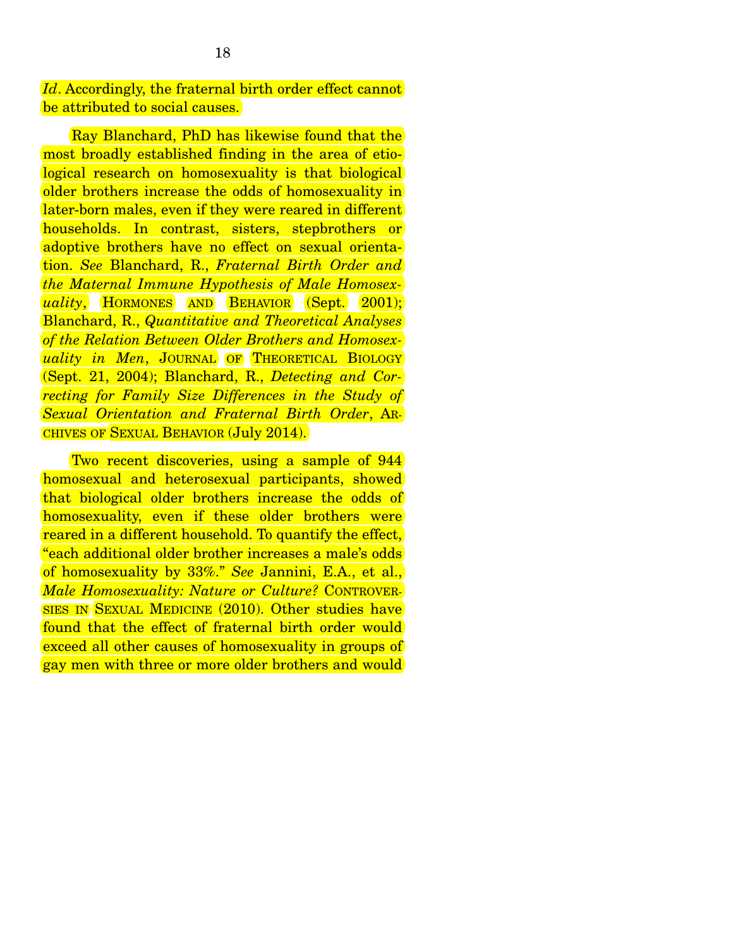*Id.* Accordingly, the fraternal birth order effect cannot be attributed to social causes.

 Ray Blanchard, PhD has likewise found that the most broadly established finding in the area of etiological research on homosexuality is that biological older brothers increase the odds of homosexuality in later-born males, even if they were reared in different households. In contrast, sisters, stepbrothers or adoptive brothers have no effect on sexual orientation. *See* Blanchard, R., *Fraternal Birth Order and the Maternal Immune Hypothesis of Male Homosexuality*, HORMONES AND BEHAVIOR (Sept. 2001); Blanchard, R., *Quantitative and Theoretical Analyses of the Relation Between Older Brothers and Homosexuality in Men*, JOURNAL OF THEORETICAL BIOLOGY (Sept. 21, 2004); Blanchard, R., *Detecting and Correcting for Family Size Differences in the Study of Sexual Orientation and Fraternal Birth Order*, AR-CHIVES OF SEXUAL BEHAVIOR (July 2014).

 Two recent discoveries, using a sample of 944 homosexual and heterosexual participants, showed that biological older brothers increase the odds of homosexuality, even if these older brothers were reared in a different household. To quantify the effect, "each additional older brother increases a male's odds of homosexuality by 33%." *See* Jannini, E.A., et al., *Male Homosexuality: Nature or Culture?* CONTROVER-SIES IN SEXUAL MEDICINE (2010). Other studies have found that the effect of fraternal birth order would exceed all other causes of homosexuality in groups of gay men with three or more older brothers and would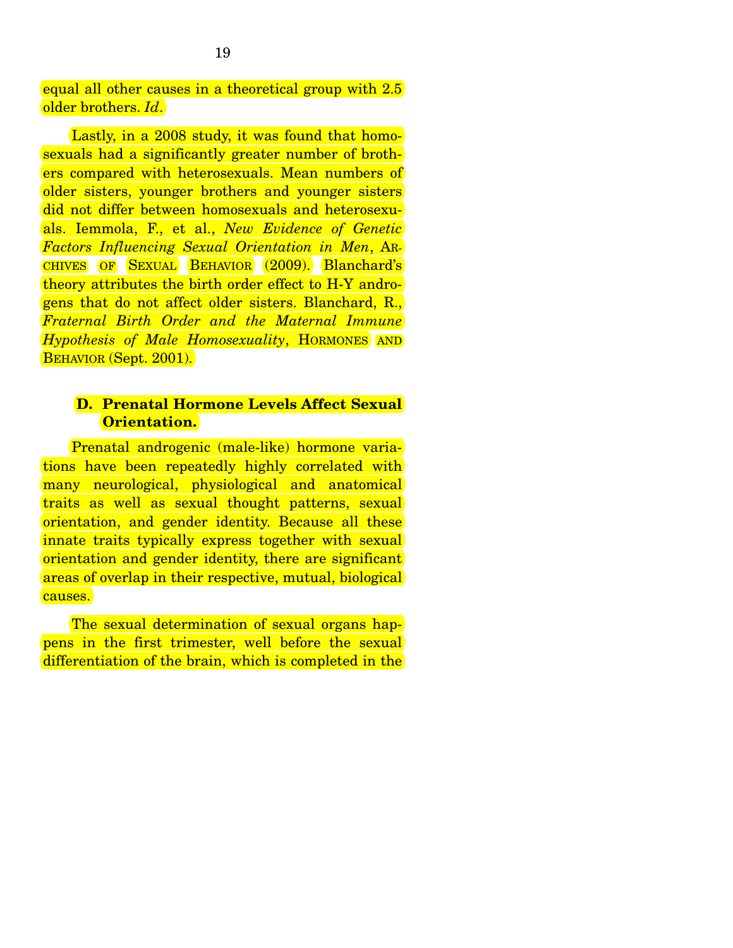equal all other causes in a theoretical group with 2.5 older brothers. *Id*.

 Lastly, in a 2008 study, it was found that homosexuals had a significantly greater number of brothers compared with heterosexuals. Mean numbers of older sisters, younger brothers and younger sisters did not differ between homosexuals and heterosexuals. Iemmola, F., et al., *New Evidence of Genetic Factors Influencing Sexual Orientation in Men*, AR-CHIVES OF SEXUAL BEHAVIOR (2009). Blanchard's theory attributes the birth order effect to H-Y androgens that do not affect older sisters. Blanchard, R., *Fraternal Birth Order and the Maternal Immune Hypothesis of Male Homosexuality*, HORMONES AND BEHAVIOR (Sept. 2001).

#### **D. Prenatal Hormone Levels Affect Sexual Orientation.**

 Prenatal androgenic (male-like) hormone variations have been repeatedly highly correlated with many neurological, physiological and anatomical traits as well as sexual thought patterns, sexual orientation, and gender identity. Because all these innate traits typically express together with sexual orientation and gender identity, there are significant areas of overlap in their respective, mutual, biological causes.

 The sexual determination of sexual organs happens in the first trimester, well before the sexual differentiation of the brain, which is completed in the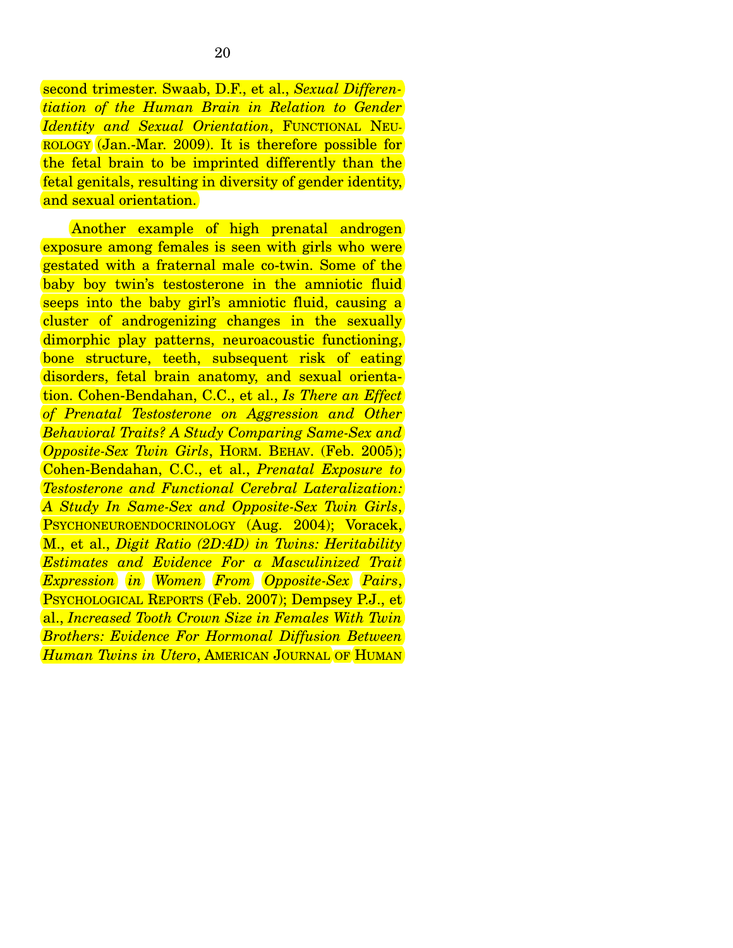second trimester. Swaab, D.F., et al., *Sexual Differentiation of the Human Brain in Relation to Gender Identity and Sexual Orientation*, FUNCTIONAL NEU-ROLOGY (Jan.-Mar. 2009). It is therefore possible for the fetal brain to be imprinted differently than the fetal genitals, resulting in diversity of gender identity, and sexual orientation.

 Another example of high prenatal androgen exposure among females is seen with girls who were gestated with a fraternal male co-twin. Some of the baby boy twin's testosterone in the amniotic fluid seeps into the baby girl's amniotic fluid, causing a cluster of androgenizing changes in the sexually dimorphic play patterns, neuroacoustic functioning, bone structure, teeth, subsequent risk of eating disorders, fetal brain anatomy, and sexual orientation. Cohen-Bendahan, C.C., et al., *Is There an Effect of Prenatal Testosterone on Aggression and Other Behavioral Traits? A Study Comparing Same-Sex and Opposite-Sex Twin Girls*, HORM. BEHAV. (Feb. 2005); Cohen-Bendahan, C.C., et al., *Prenatal Exposure to Testosterone and Functional Cerebral Lateralization: A Study In Same-Sex and Opposite-Sex Twin Girls*, PSYCHONEUROENDOCRINOLOGY (Aug. 2004); Voracek, M., et al., *Digit Ratio (2D:4D) in Twins: Heritability Estimates and Evidence For a Masculinized Trait Expression in Women From Opposite-Sex Pairs*, PSYCHOLOGICAL REPORTS (Feb. 2007); Dempsey P.J., et al., *Increased Tooth Crown Size in Females With Twin Brothers: Evidence For Hormonal Diffusion Between Human Twins in Utero*, AMERICAN JOURNAL OF HUMAN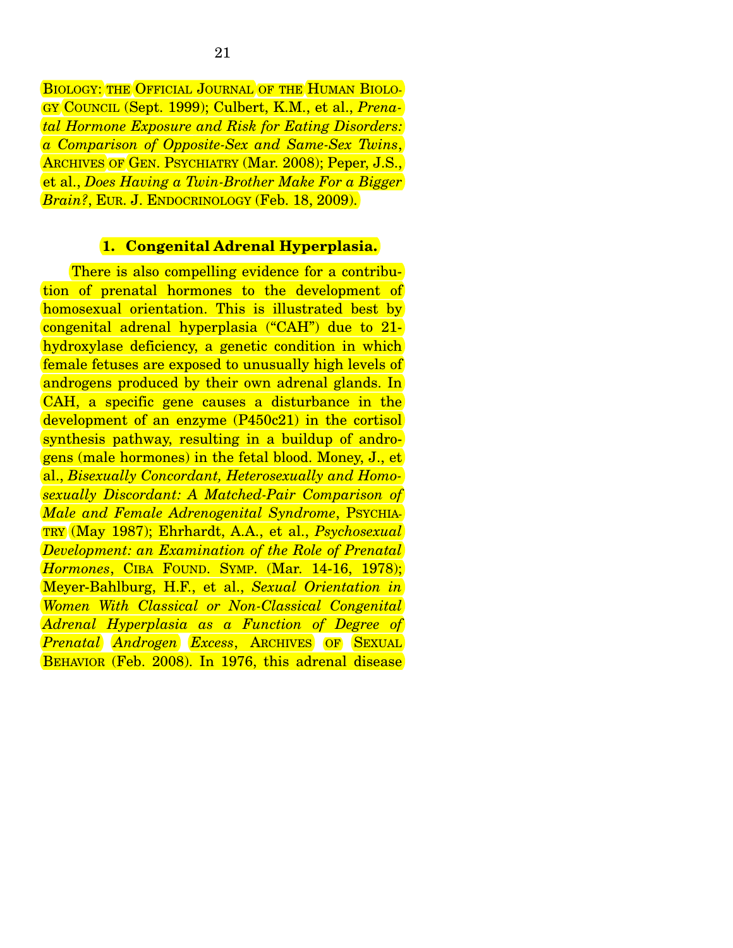BIOLOGY: THE OFFICIAL JOURNAL OF THE HUMAN BIOLO-GY COUNCIL (Sept. 1999); Culbert, K.M., et al., *Prenatal Hormone Exposure and Risk for Eating Disorders: a Comparison of Opposite-Sex and Same-Sex Twins*, ARCHIVES OF GEN. PSYCHIATRY (Mar. 2008); Peper, J.S., et al., *Does Having a Twin-Brother Make For a Bigger Brain?*, EUR. J. ENDOCRINOLOGY (Feb. 18, 2009).

#### **1. Congenital Adrenal Hyperplasia.**

 There is also compelling evidence for a contribution of prenatal hormones to the development of homosexual orientation. This is illustrated best by congenital adrenal hyperplasia ("CAH") due to 21 hydroxylase deficiency, a genetic condition in which female fetuses are exposed to unusually high levels of androgens produced by their own adrenal glands. In CAH, a specific gene causes a disturbance in the development of an enzyme (P450c21) in the cortisol synthesis pathway, resulting in a buildup of androgens (male hormones) in the fetal blood. Money, J., et al., *Bisexually Concordant, Heterosexually and Homosexually Discordant: A Matched-Pair Comparison of Male and Female Adrenogenital Syndrome*, PSYCHIA-TRY (May 1987); Ehrhardt, A.A., et al., *Psychosexual Development: an Examination of the Role of Prenatal Hormones*, CIBA FOUND. SYMP. (Mar. 14-16, 1978); Meyer-Bahlburg, H.F., et al., *Sexual Orientation in Women With Classical or Non-Classical Congenital Adrenal Hyperplasia as a Function of Degree of Prenatal Androgen Excess*, ARCHIVES OF SEXUAL BEHAVIOR (Feb. 2008). In 1976, this adrenal disease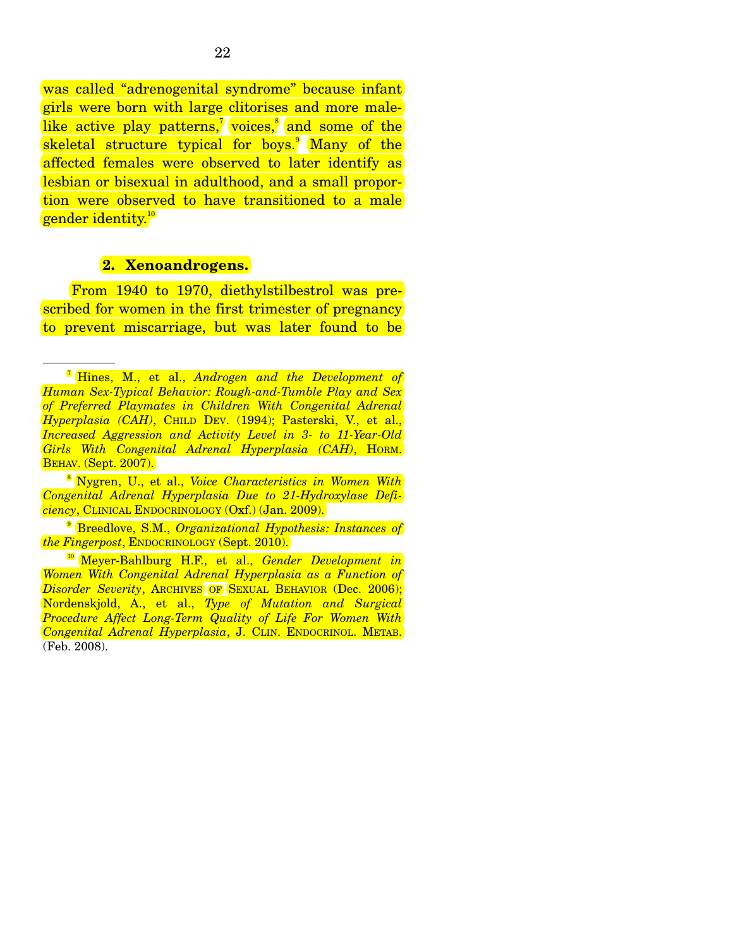was called "adrenogenital syndrome" because infant girls were born with large clitorises and more malelike active play patterns,<sup>7</sup> voices,<sup>8</sup> and some of the skeletal structure typical for boys.<sup>9</sup> Many of the affected females were observed to later identify as lesbian or bisexual in adulthood, and a small proportion were observed to have transitioned to a male gender identity.<sup>10</sup>

#### **2. Xenoandrogens.**

 From 1940 to 1970, diethylstilbestrol was prescribed for women in the first trimester of pregnancy to prevent miscarriage, but was later found to be

<sup>7</sup> Hines, M., et al., *Androgen and the Development of Human Sex-Typical Behavior: Rough-and-Tumble Play and Sex of Preferred Playmates in Children With Congenital Adrenal Hyperplasia (CAH)*, CHILD DEV. (1994); Pasterski, V., et al., *Increased Aggression and Activity Level in 3- to 11-Year-Old Girls With Congenital Adrenal Hyperplasia (CAH)*, HORM. BEHAV. (Sept. 2007).

<sup>8</sup> Nygren, U., et al., *Voice Characteristics in Women With Congenital Adrenal Hyperplasia Due to 21-Hydroxylase Deficiency*, CLINICAL ENDOCRINOLOGY (Oxf.) (Jan. 2009).

<sup>9</sup> Breedlove, S.M., *Organizational Hypothesis: Instances of the Fingerpost*, ENDOCRINOLOGY (Sept. 2010).

<sup>10</sup> Meyer-Bahlburg H.F., et al., *Gender Development in Women With Congenital Adrenal Hyperplasia as a Function of Disorder Severity*, ARCHIVES OF SEXUAL BEHAVIOR (Dec. 2006); Nordenskjold, A., et al., *Type of Mutation and Surgical Procedure Affect Long-Term Quality of Life For Women With Congenital Adrenal Hyperplasia*, J. CLIN. ENDOCRINOL. METAB. (Feb. 2008).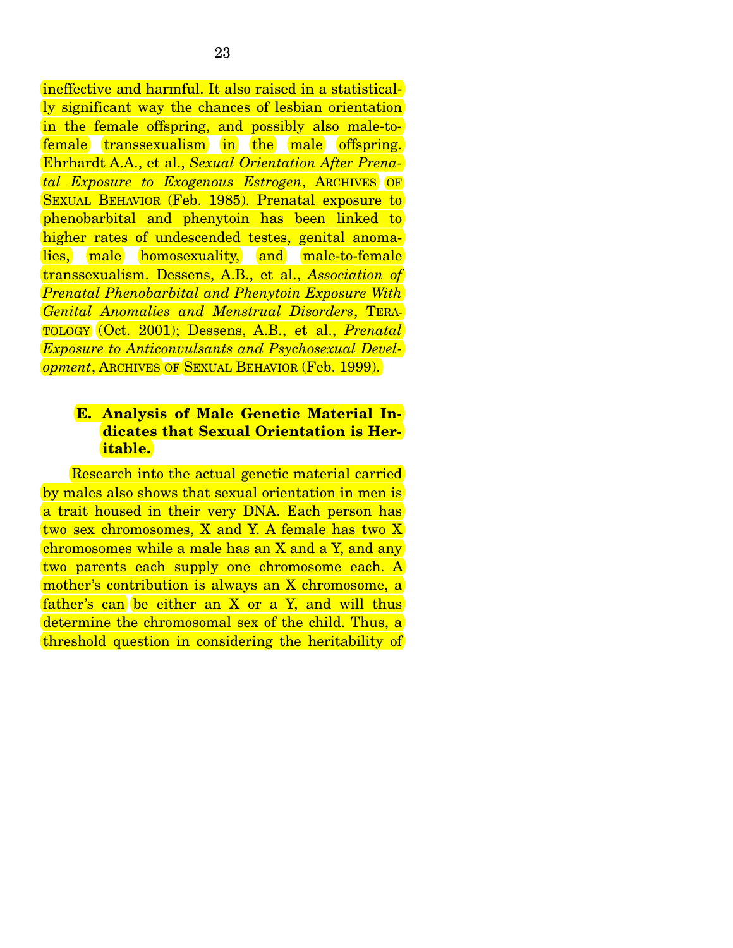ineffective and harmful. It also raised in a statistically significant way the chances of lesbian orientation in the female offspring, and possibly also male-tofemale transsexualism in the male offspring. Ehrhardt A.A., et al., *Sexual Orientation After Prenatal Exposure to Exogenous Estrogen*, ARCHIVES OF SEXUAL BEHAVIOR (Feb. 1985). Prenatal exposure to phenobarbital and phenytoin has been linked to higher rates of undescended testes, genital anomalies, male homosexuality, and male-to-female transsexualism. Dessens, A.B., et al., *Association of Prenatal Phenobarbital and Phenytoin Exposure With Genital Anomalies and Menstrual Disorders*, TERA-TOLOGY (Oct. 2001); Dessens, A.B., et al., *Prenatal Exposure to Anticonvulsants and Psychosexual Development*, ARCHIVES OF SEXUAL BEHAVIOR (Feb. 1999).

#### **E. Analysis of Male Genetic Material Indicates that Sexual Orientation is Heritable.**

 Research into the actual genetic material carried by males also shows that sexual orientation in men is a trait housed in their very DNA. Each person has two sex chromosomes, X and Y. A female has two X chromosomes while a male has an X and a Y, and any two parents each supply one chromosome each. A mother's contribution is always an X chromosome, a father's can be either an  $X$  or a  $Y$ , and will thus determine the chromosomal sex of the child. Thus, a threshold question in considering the heritability of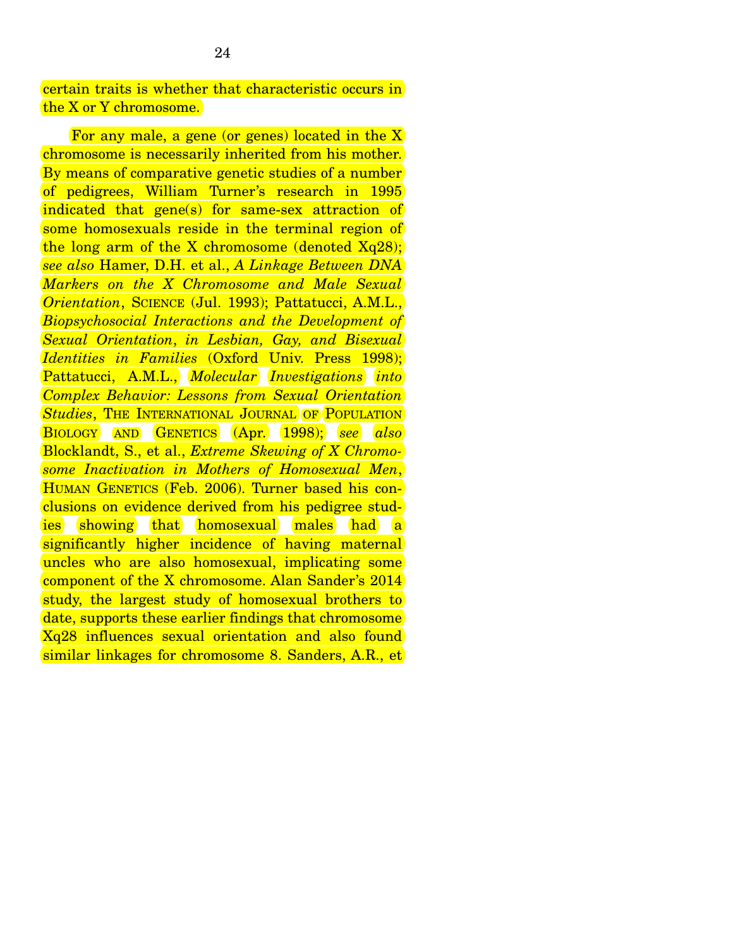certain traits is whether that characteristic occurs in the X or Y chromosome.

 For any male, a gene (or genes) located in the X chromosome is necessarily inherited from his mother. By means of comparative genetic studies of a number of pedigrees, William Turner's research in 1995 indicated that gene(s) for same-sex attraction of some homosexuals reside in the terminal region of the long arm of the X chromosome (denoted  $Xq28$ ); *see also* Hamer, D.H. et al., *A Linkage Between DNA Markers on the X Chromosome and Male Sexual Orientation*, SCIENCE (Jul. 1993); Pattatucci, A.M.L., *Biopsychosocial Interactions and the Development of Sexual Orientation*, *in Lesbian, Gay, and Bisexual Identities in Families* (Oxford Univ. Press 1998); Pattatucci, A.M.L., *Molecular Investigations into Complex Behavior: Lessons from Sexual Orientation*  **Studies, THE INTERNATIONAL JOURNAL OF POPULATION** BIOLOGY AND GENETICS (Apr. 1998); *see also*  Blocklandt, S., et al., *Extreme Skewing of X Chromosome Inactivation in Mothers of Homosexual Men*, HUMAN GENETICS (Feb. 2006). Turner based his conclusions on evidence derived from his pedigree studies showing that homosexual males had a significantly higher incidence of having maternal uncles who are also homosexual, implicating some component of the X chromosome. Alan Sander's 2014 study, the largest study of homosexual brothers to date, supports these earlier findings that chromosome Xq28 influences sexual orientation and also found similar linkages for chromosome 8. Sanders, A.R., et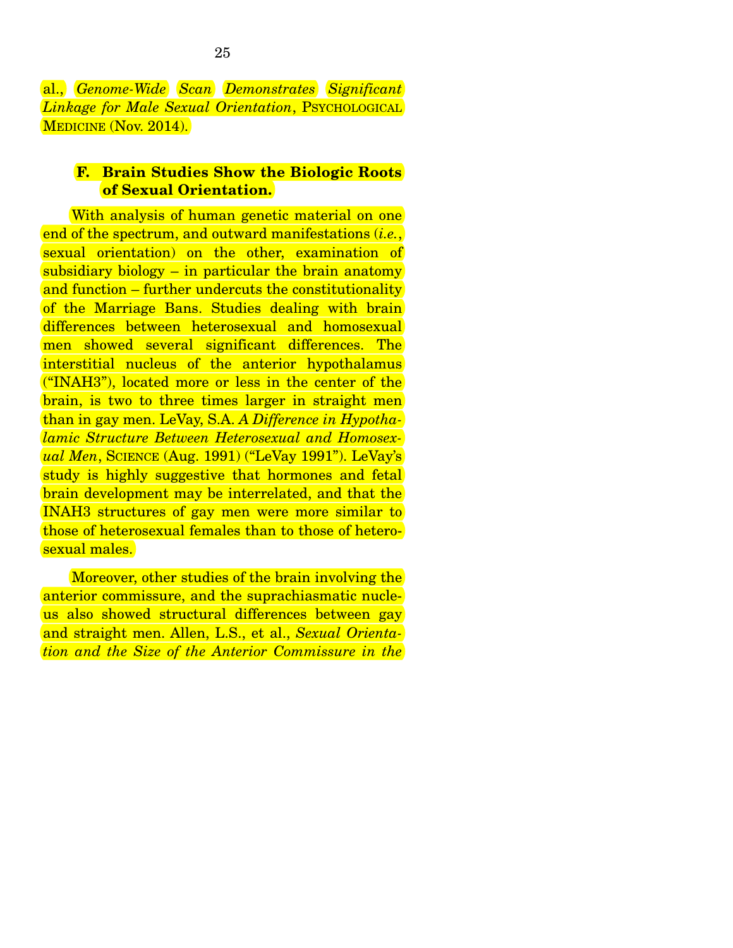al., *Genome-Wide Scan Demonstrates Significant Linkage for Male Sexual Orientation*, PSYCHOLOGICAL MEDICINE (Nov. 2014).

#### **F. Brain Studies Show the Biologic Roots of Sexual Orientation.**

With analysis of human genetic material on one end of the spectrum, and outward manifestations (*i.e.*, sexual orientation) on the other, examination of subsidiary biology – in particular the brain anatomy and function – further undercuts the constitutionality of the Marriage Bans. Studies dealing with brain differences between heterosexual and homosexual men showed several significant differences. The interstitial nucleus of the anterior hypothalamus ("INAH3"), located more or less in the center of the brain, is two to three times larger in straight men than in gay men. LeVay, S.A. *A Difference in Hypothalamic Structure Between Heterosexual and Homosexual Men*, SCIENCE (Aug. 1991) ("LeVay 1991"). LeVay's study is highly suggestive that hormones and fetal brain development may be interrelated, and that the INAH3 structures of gay men were more similar to those of heterosexual females than to those of heterosexual males.

 Moreover, other studies of the brain involving the anterior commissure, and the suprachiasmatic nucleus also showed structural differences between gay and straight men. Allen, L.S., et al., *Sexual Orientation and the Size of the Anterior Commissure in the*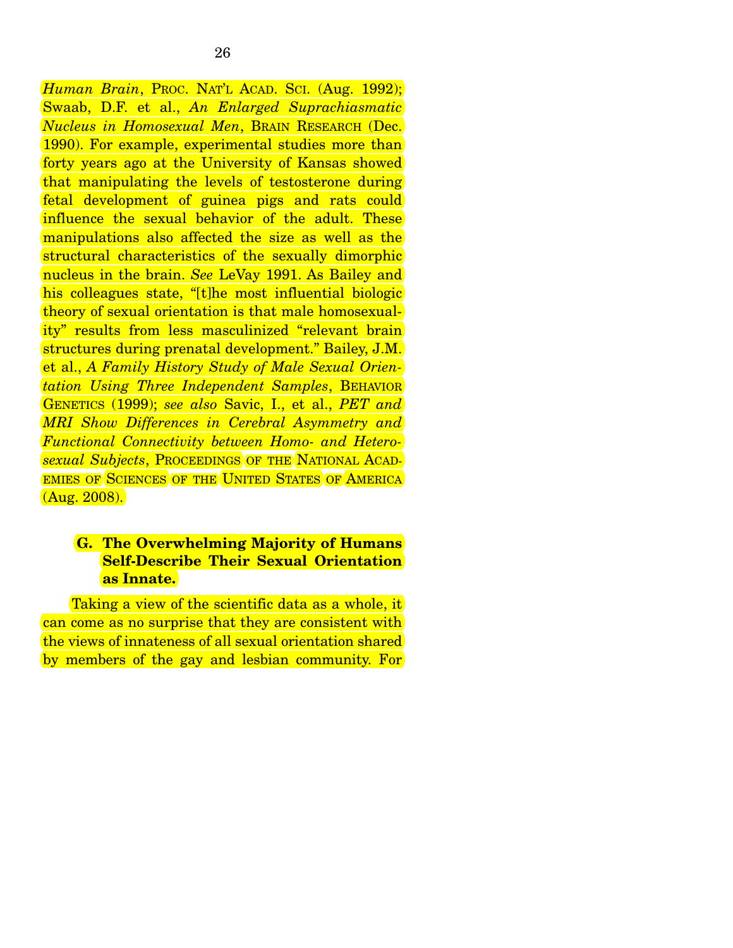*Human Brain*, PROC. NAT'L ACAD. SCI. (Aug. 1992); Swaab, D.F. et al., *An Enlarged Suprachiasmatic Nucleus in Homosexual Men*, BRAIN RESEARCH (Dec. 1990). For example, experimental studies more than forty years ago at the University of Kansas showed that manipulating the levels of testosterone during fetal development of guinea pigs and rats could influence the sexual behavior of the adult. These manipulations also affected the size as well as the structural characteristics of the sexually dimorphic nucleus in the brain. *See* LeVay 1991. As Bailey and his colleagues state, "[t]he most influential biologic theory of sexual orientation is that male homosexuality" results from less masculinized "relevant brain structures during prenatal development." Bailey, J.M. et al., *A Family History Study of Male Sexual Orientation Using Three Independent Samples*, BEHAVIOR GENETICS (1999); *see also* Savic, I., et al., *PET and MRI Show Differences in Cerebral Asymmetry and Functional Connectivity between Homo- and Heterosexual Subjects*, PROCEEDINGS OF THE NATIONAL ACAD-EMIES OF SCIENCES OF THE UNITED STATES OF AMERICA (Aug. 2008).

#### **G. The Overwhelming Majority of Humans Self-Describe Their Sexual Orientation as Innate.**

 Taking a view of the scientific data as a whole, it can come as no surprise that they are consistent with the views of innateness of all sexual orientation shared by members of the gay and lesbian community. For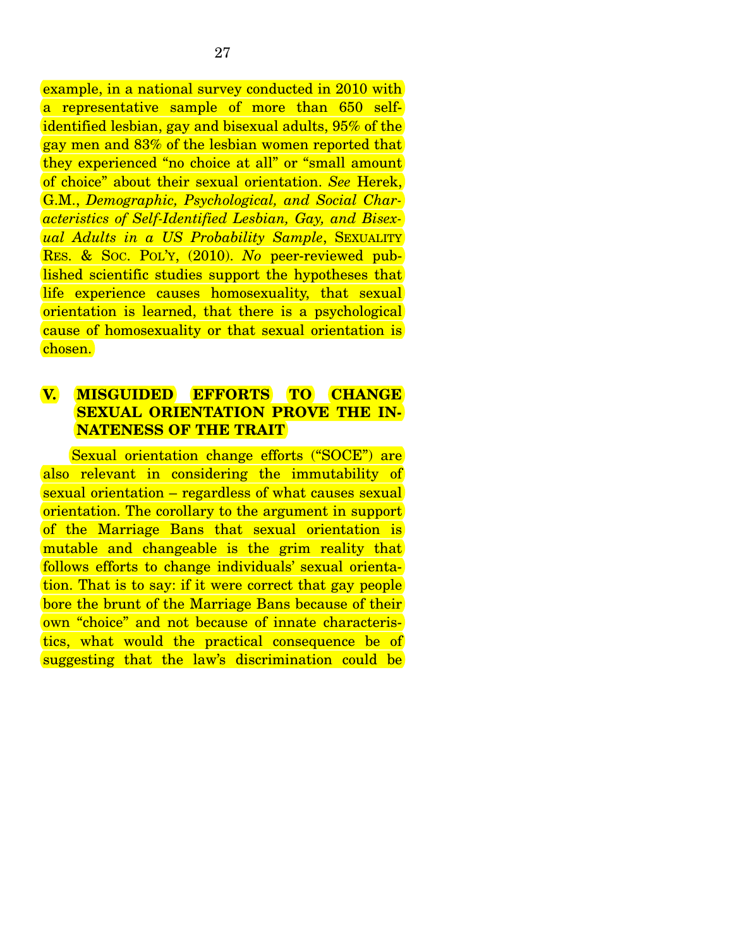example, in a national survey conducted in 2010 with a representative sample of more than 650 selfidentified lesbian, gay and bisexual adults, 95% of the gay men and 83% of the lesbian women reported that they experienced "no choice at all" or "small amount of choice" about their sexual orientation. *See* Herek, G.M., *Demographic, Psychological, and Social Characteristics of Self-Identified Lesbian, Gay, and Bisexual Adults in a US Probability Sample*, SEXUALITY RES. & SOC. POL'Y, (2010). *No* peer-reviewed published scientific studies support the hypotheses that life experience causes homosexuality, that sexual orientation is learned, that there is a psychological cause of homosexuality or that sexual orientation is chosen.

## **V. MISGUIDED EFFORTS TO CHANGE SEXUAL ORIENTATION PROVE THE IN-NATENESS OF THE TRAIT**

 Sexual orientation change efforts ("SOCE") are also relevant in considering the immutability of sexual orientation – regardless of what causes sexual orientation. The corollary to the argument in support of the Marriage Bans that sexual orientation is mutable and changeable is the grim reality that follows efforts to change individuals' sexual orientation. That is to say: if it were correct that gay people bore the brunt of the Marriage Bans because of their own "choice" and not because of innate characteristics, what would the practical consequence be of suggesting that the law's discrimination could be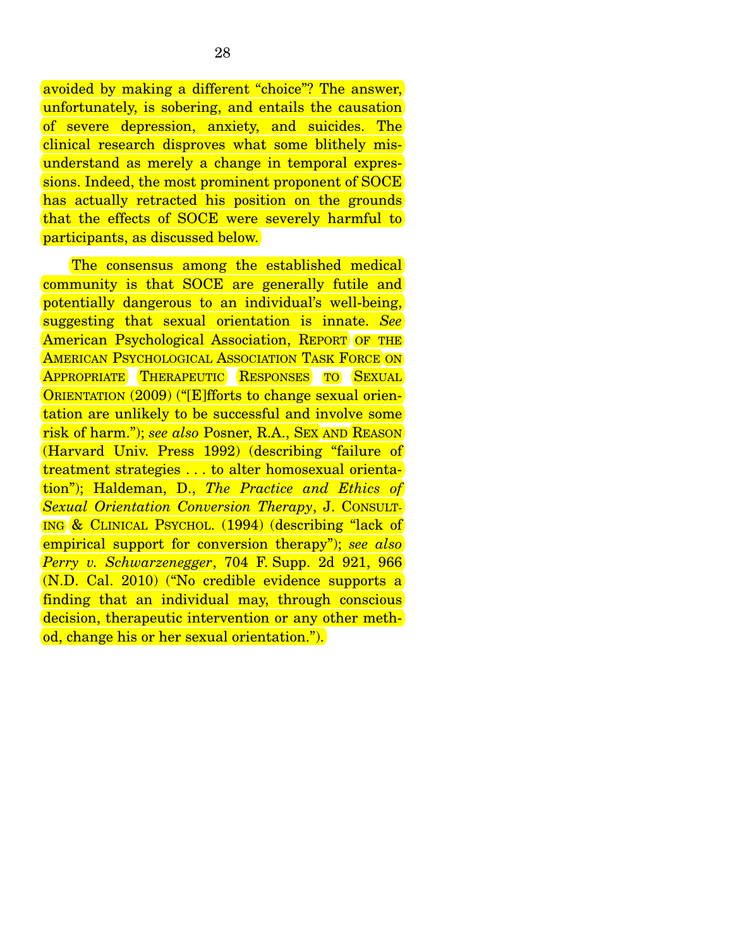avoided by making a different "choice"? The answer, unfortunately, is sobering, and entails the causation of severe depression, anxiety, and suicides. The clinical research disproves what some blithely misunderstand as merely a change in temporal expressions. Indeed, the most prominent proponent of SOCE has actually retracted his position on the grounds that the effects of SOCE were severely harmful to participants, as discussed below.

 The consensus among the established medical community is that SOCE are generally futile and potentially dangerous to an individual's well-being, suggesting that sexual orientation is innate. *See*  American Psychological Association, REPORT OF THE AMERICAN PSYCHOLOGICAL ASSOCIATION TASK FORCE ON APPROPRIATE THERAPEUTIC RESPONSES TO SEXUAL ORIENTATION (2009) ("[E]fforts to change sexual orientation are unlikely to be successful and involve some risk of harm."); *see also* Posner, R.A., SEX AND REASON (Harvard Univ. Press 1992) (describing "failure of treatment strategies . . . to alter homosexual orientation"); Haldeman, D., *The Practice and Ethics of Sexual Orientation Conversion Therapy*, J. CONSULT-ING & CLINICAL PSYCHOL. (1994) (describing "lack of empirical support for conversion therapy"); *see also Perry v. Schwarzenegger*, 704 F. Supp. 2d 921, 966 (N.D. Cal. 2010) ("No credible evidence supports a finding that an individual may, through conscious decision, therapeutic intervention or any other method, change his or her sexual orientation.").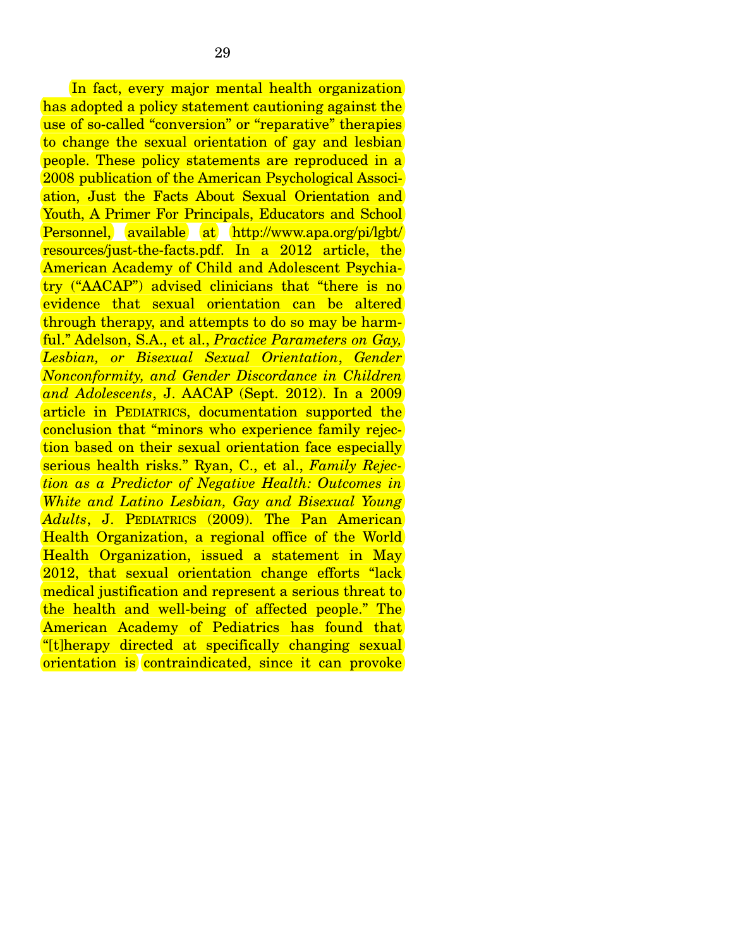In fact, every major mental health organization has adopted a policy statement cautioning against the use of so-called "conversion" or "reparative" therapies to change the sexual orientation of gay and lesbian people. These policy statements are reproduced in a 2008 publication of the American Psychological Association, Just the Facts About Sexual Orientation and Youth, A Primer For Principals, Educators and School Personnel, available at http://www.apa.org/pi/lgbt/ resources/just-the-facts.pdf. In a 2012 article, the American Academy of Child and Adolescent Psychiatry ("AACAP") advised clinicians that "there is no evidence that sexual orientation can be altered through therapy, and attempts to do so may be harmful." Adelson, S.A., et al., *Practice Parameters on Gay, Lesbian, or Bisexual Sexual Orientation*, *Gender Nonconformity, and Gender Discordance in Children and Adolescents*, J. AACAP (Sept. 2012). In a 2009 article in PEDIATRICS, documentation supported the conclusion that "minors who experience family rejection based on their sexual orientation face especially serious health risks." Ryan, C., et al., *Family Rejection as a Predictor of Negative Health: Outcomes in White and Latino Lesbian, Gay and Bisexual Young Adults*, J. PEDIATRICS (2009). The Pan American Health Organization, a regional office of the World Health Organization, issued a statement in May 2012, that sexual orientation change efforts "lack medical justification and represent a serious threat to the health and well-being of affected people." The American Academy of Pediatrics has found that "[t]herapy directed at specifically changing sexual orientation is contraindicated, since it can provoke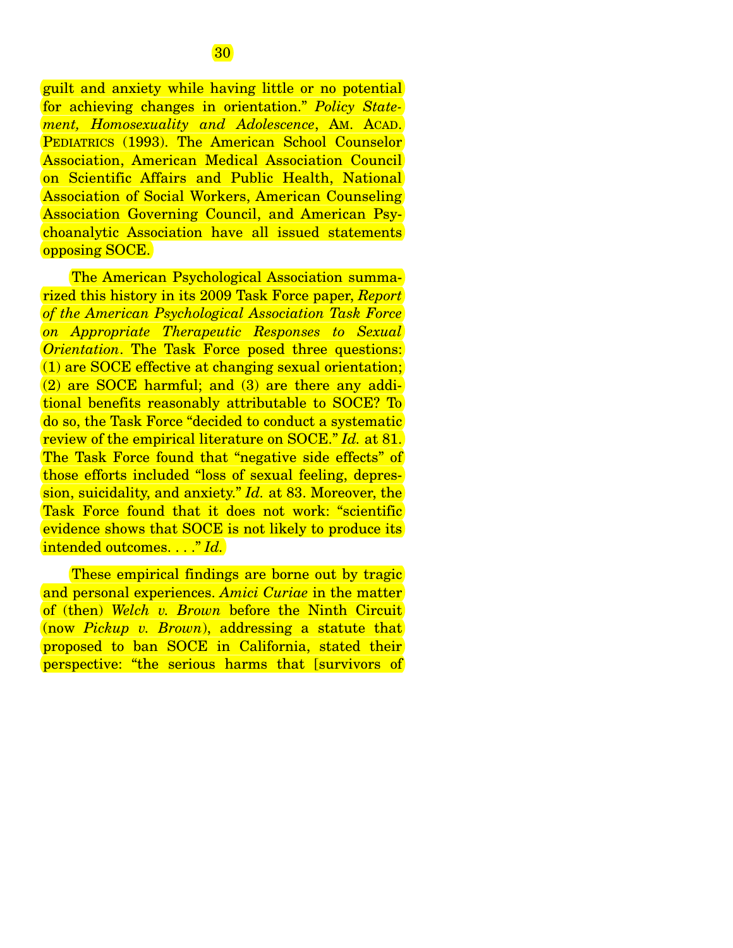guilt and anxiety while having little or no potential for achieving changes in orientation." *Policy Statement, Homosexuality and Adolescence*, AM. ACAD. PEDIATRICS (1993). The American School Counselor Association, American Medical Association Council on Scientific Affairs and Public Health, National Association of Social Workers, American Counseling Association Governing Council, and American Psychoanalytic Association have all issued statements opposing SOCE.

 The American Psychological Association summarized this history in its 2009 Task Force paper, *Report of the American Psychological Association Task Force on Appropriate Therapeutic Responses to Sexual Orientation*. The Task Force posed three questions: (1) are SOCE effective at changing sexual orientation; (2) are SOCE harmful; and (3) are there any additional benefits reasonably attributable to SOCE? To do so, the Task Force "decided to conduct a systematic review of the empirical literature on SOCE." *Id.* at 81. The Task Force found that "negative side effects" of those efforts included "loss of sexual feeling, depression, suicidality, and anxiety." *Id.* at 83. Moreover, the Task Force found that it does not work: "scientific evidence shows that SOCE is not likely to produce its intended outcomes. . . ." *Id.*

These empirical findings are borne out by tragic and personal experiences. *Amici Curiae* in the matter of (then) *Welch v. Brown* before the Ninth Circuit (now *Pickup v. Brown*), addressing a statute that proposed to ban SOCE in California, stated their perspective: "the serious harms that [survivors of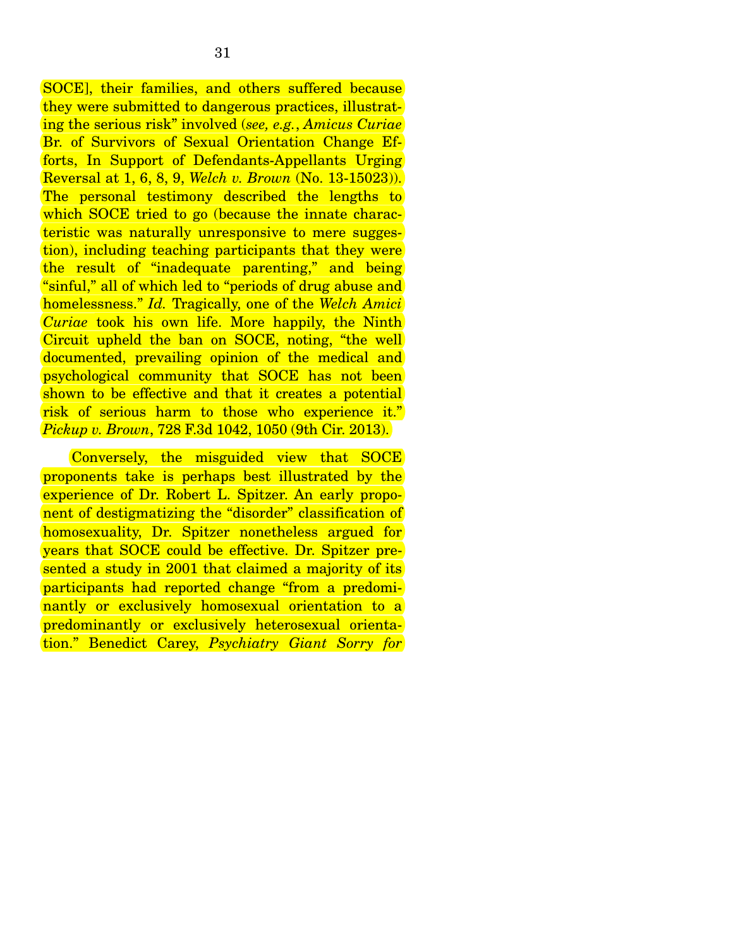SOCE], their families, and others suffered because they were submitted to dangerous practices, illustrating the serious risk" involved (*see, e.g.*, *Amicus Curiae* Br. of Survivors of Sexual Orientation Change Efforts, In Support of Defendants-Appellants Urging Reversal at 1, 6, 8, 9, *Welch v. Brown* (No. 13-15023)). The personal testimony described the lengths to which SOCE tried to go (because the innate characteristic was naturally unresponsive to mere suggestion), including teaching participants that they were the result of "inadequate parenting," and being "sinful," all of which led to "periods of drug abuse and homelessness." *Id.* Tragically, one of the *Welch Amici Curiae* took his own life. More happily, the Ninth Circuit upheld the ban on SOCE, noting, "the well documented, prevailing opinion of the medical and psychological community that SOCE has not been shown to be effective and that it creates a potential risk of serious harm to those who experience it." *Pickup v. Brown*, 728 F.3d 1042, 1050 (9th Cir. 2013).

 Conversely, the misguided view that SOCE proponents take is perhaps best illustrated by the experience of Dr. Robert L. Spitzer. An early proponent of destigmatizing the "disorder" classification of homosexuality, Dr. Spitzer nonetheless argued for years that SOCE could be effective. Dr. Spitzer presented a study in 2001 that claimed a majority of its participants had reported change "from a predominantly or exclusively homosexual orientation to a predominantly or exclusively heterosexual orientation." Benedict Carey, *Psychiatry Giant Sorry for*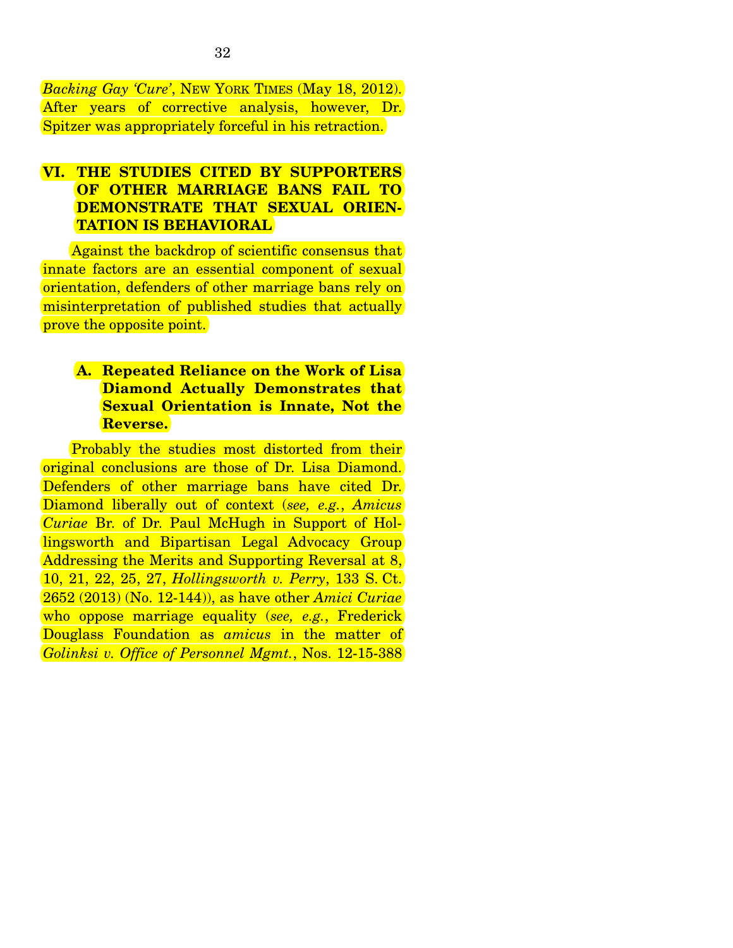*Backing Gay 'Cure'*, NEW YORK TIMES (May 18, 2012). After years of corrective analysis, however, Dr. Spitzer was appropriately forceful in his retraction.

## **VI. THE STUDIES CITED BY SUPPORTERS OF OTHER MARRIAGE BANS FAIL TO DEMONSTRATE THAT SEXUAL ORIEN-TATION IS BEHAVIORAL**

 Against the backdrop of scientific consensus that innate factors are an essential component of sexual orientation, defenders of other marriage bans rely on misinterpretation of published studies that actually prove the opposite point.

## **A. Repeated Reliance on the Work of Lisa Diamond Actually Demonstrates that Sexual Orientation is Innate, Not the Reverse.**

 Probably the studies most distorted from their original conclusions are those of Dr. Lisa Diamond. Defenders of other marriage bans have cited Dr. Diamond liberally out of context (*see, e.g.*, *Amicus Curiae* Br. of Dr. Paul McHugh in Support of Hollingsworth and Bipartisan Legal Advocacy Group Addressing the Merits and Supporting Reversal at 8, 10, 21, 22, 25, 27, *Hollingsworth v. Perry*, 133 S. Ct. 2652 (2013) (No. 12-144)), as have other *Amici Curiae* who oppose marriage equality (*see, e.g.*, Frederick Douglass Foundation as *amicus* in the matter of *Golinksi v. Office of Personnel Mgmt.*, Nos. 12-15-388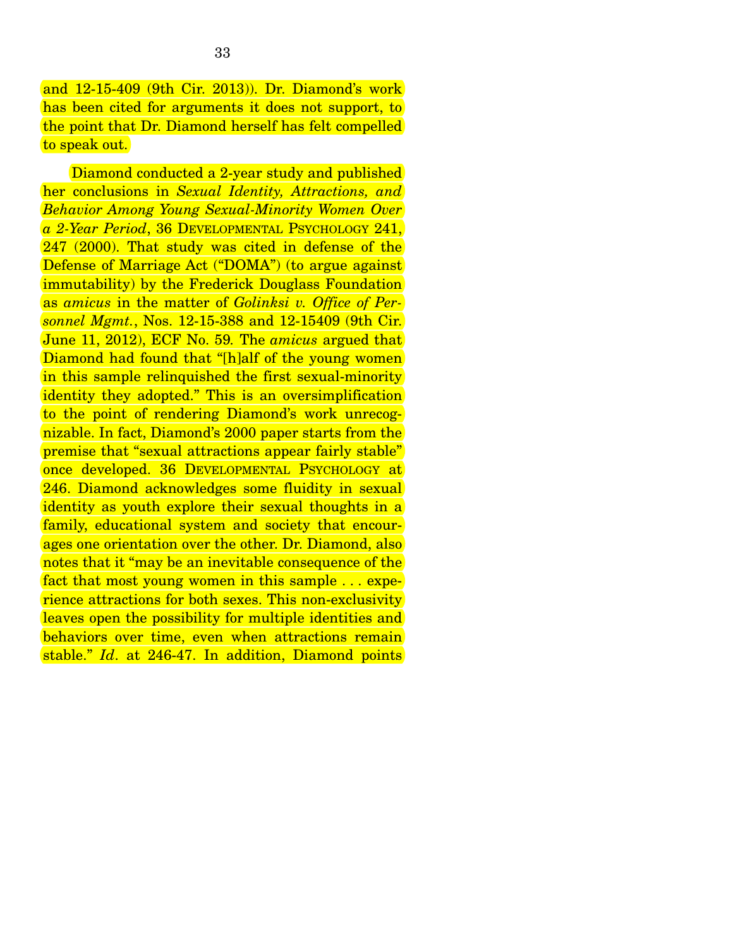and 12-15-409 (9th Cir. 2013)). Dr. Diamond's work has been cited for arguments it does not support, to the point that Dr. Diamond herself has felt compelled to speak out.

Diamond conducted a 2-year study and published her conclusions in *Sexual Identity, Attractions, and Behavior Among Young Sexual-Minority Women Over a 2-Year Period*, 36 DEVELOPMENTAL PSYCHOLOGY 241, 247 (2000). That study was cited in defense of the Defense of Marriage Act ("DOMA") (to argue against immutability) by the Frederick Douglass Foundation as *amicus* in the matter of *Golinksi v. Office of Personnel Mgmt.*, Nos. 12-15-388 and 12-15409 (9th Cir. June 11, 2012), ECF No. 59*.* The *amicus* argued that Diamond had found that "[h]alf of the young women in this sample relinquished the first sexual-minority identity they adopted." This is an oversimplification to the point of rendering Diamond's work unrecognizable. In fact, Diamond's 2000 paper starts from the premise that "sexual attractions appear fairly stable" once developed. 36 DEVELOPMENTAL PSYCHOLOGY at 246. Diamond acknowledges some fluidity in sexual identity as youth explore their sexual thoughts in a family, educational system and society that encourages one orientation over the other. Dr. Diamond, also notes that it "may be an inevitable consequence of the fact that most young women in this sample . . . experience attractions for both sexes. This non-exclusivity leaves open the possibility for multiple identities and behaviors over time, even when attractions remain stable." *Id*. at 246-47. In addition, Diamond points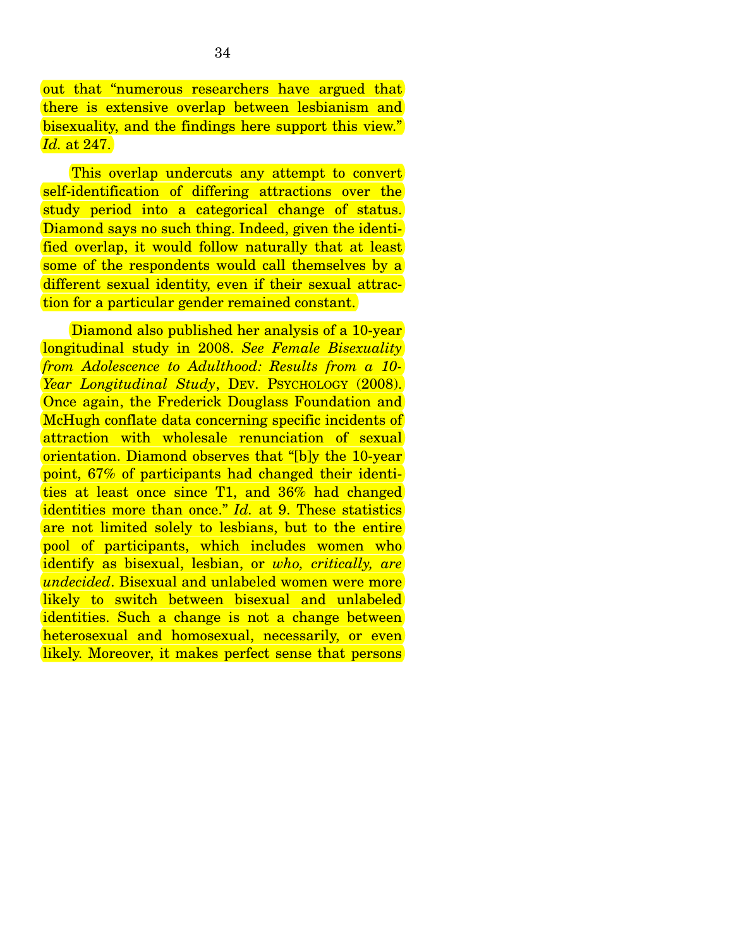out that "numerous researchers have argued that there is extensive overlap between lesbianism and bisexuality, and the findings here support this view." *Id.* at 247.

This overlap undercuts any attempt to convert self-identification of differing attractions over the study period into a categorical change of status. Diamond says no such thing. Indeed, given the identified overlap, it would follow naturally that at least some of the respondents would call themselves by a different sexual identity, even if their sexual attraction for a particular gender remained constant.

Diamond also published her analysis of a 10-year longitudinal study in 2008. *See Female Bisexuality from Adolescence to Adulthood: Results from a 10- Year Longitudinal Study*, DEV. PSYCHOLOGY (2008). Once again, the Frederick Douglass Foundation and McHugh conflate data concerning specific incidents of attraction with wholesale renunciation of sexual orientation. Diamond observes that "[b]y the 10-year point, 67% of participants had changed their identities at least once since T1, and 36% had changed identities more than once." *Id.* at 9. These statistics are not limited solely to lesbians, but to the entire pool of participants, which includes women who identify as bisexual, lesbian, or *who, critically, are undecided*. Bisexual and unlabeled women were more likely to switch between bisexual and unlabeled identities. Such a change is not a change between heterosexual and homosexual, necessarily, or even likely. Moreover, it makes perfect sense that persons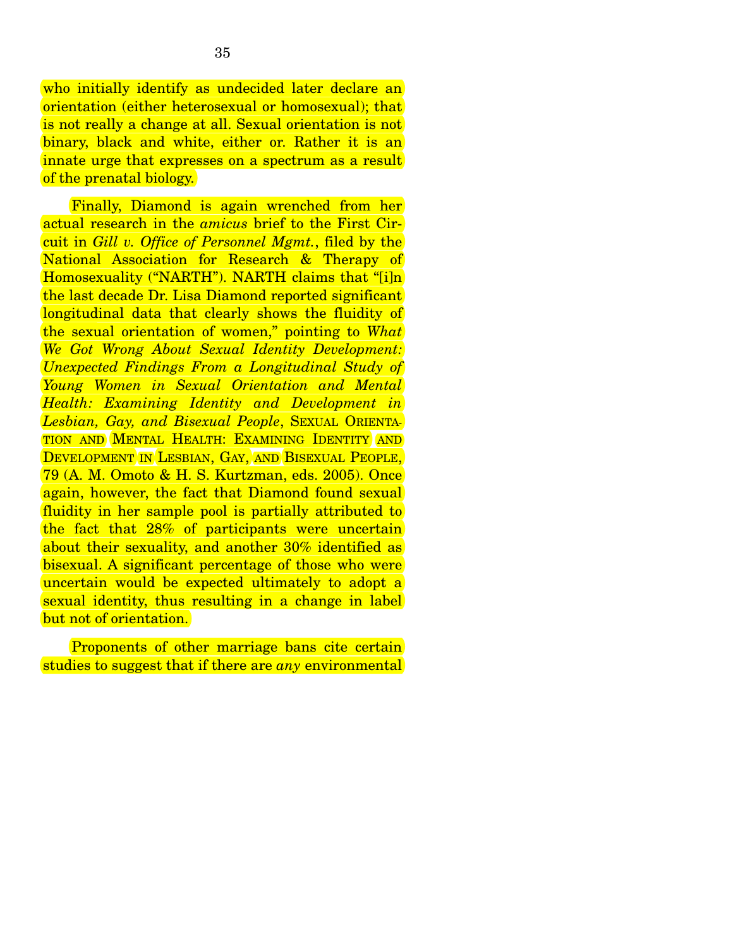who initially identify as undecided later declare an orientation (either heterosexual or homosexual); that is not really a change at all. Sexual orientation is not binary, black and white, either or. Rather it is an innate urge that expresses on a spectrum as a result of the prenatal biology.

 Finally, Diamond is again wrenched from her actual research in the *amicus* brief to the First Circuit in *Gill v. Office of Personnel Mgmt.*, filed by the National Association for Research & Therapy of Homosexuality ("NARTH"). NARTH claims that "[i]n the last decade Dr. Lisa Diamond reported significant longitudinal data that clearly shows the fluidity of the sexual orientation of women," pointing to *What We Got Wrong About Sexual Identity Development: Unexpected Findings From a Longitudinal Study of Young Women in Sexual Orientation and Mental Health: Examining Identity and Development in Lesbian, Gay, and Bisexual People*, SEXUAL ORIENTA-TION AND MENTAL HEALTH: EXAMINING IDENTITY AND DEVELOPMENT IN LESBIAN, GAY, AND BISEXUAL PEOPLE, 79 (A. M. Omoto & H. S. Kurtzman, eds. 2005). Once again, however, the fact that Diamond found sexual fluidity in her sample pool is partially attributed to the fact that 28% of participants were uncertain about their sexuality, and another 30% identified as bisexual. A significant percentage of those who were uncertain would be expected ultimately to adopt a sexual identity, thus resulting in a change in label but not of orientation.

 Proponents of other marriage bans cite certain studies to suggest that if there are *any* environmental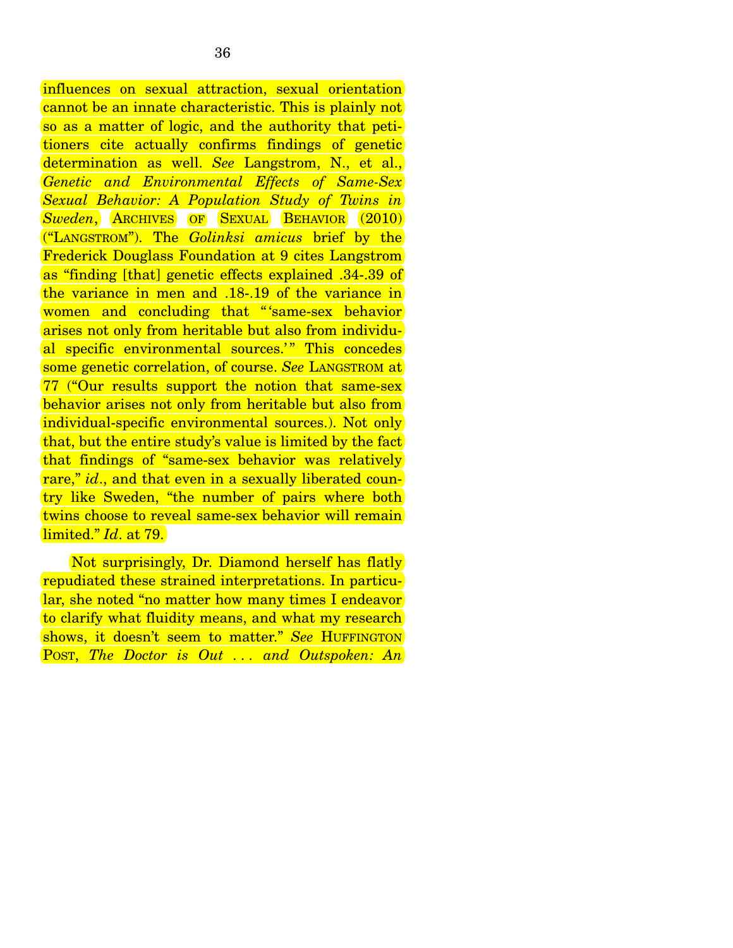influences on sexual attraction, sexual orientation cannot be an innate characteristic. This is plainly not so as a matter of logic, and the authority that petitioners cite actually confirms findings of genetic determination as well. *See* Langstrom, N., et al., *Genetic and Environmental Effects of Same-Sex Sexual Behavior: A Population Study of Twins in Sweden*, ARCHIVES OF SEXUAL BEHAVIOR (2010) ("LANGSTROM"). The *Golinksi amicus* brief by the Frederick Douglass Foundation at 9 cites Langstrom as "finding [that] genetic effects explained .34-.39 of the variance in men and .18-.19 of the variance in women and concluding that "'same-sex behavior arises not only from heritable but also from individual specific environmental sources.'" This concedes some genetic correlation, of course. *See* LANGSTROM at 77 ("Our results support the notion that same-sex behavior arises not only from heritable but also from individual-specific environmental sources.). Not only that, but the entire study's value is limited by the fact that findings of "same-sex behavior was relatively rare," *id.*, and that even in a sexually liberated country like Sweden, "the number of pairs where both twins choose to reveal same-sex behavior will remain limited." *Id*. at 79.

 Not surprisingly, Dr. Diamond herself has flatly repudiated these strained interpretations. In particular, she noted "no matter how many times I endeavor to clarify what fluidity means, and what my research shows, it doesn't seem to matter." *See* HUFFINGTON POST, *The Doctor is Out . . . and Outspoken: An*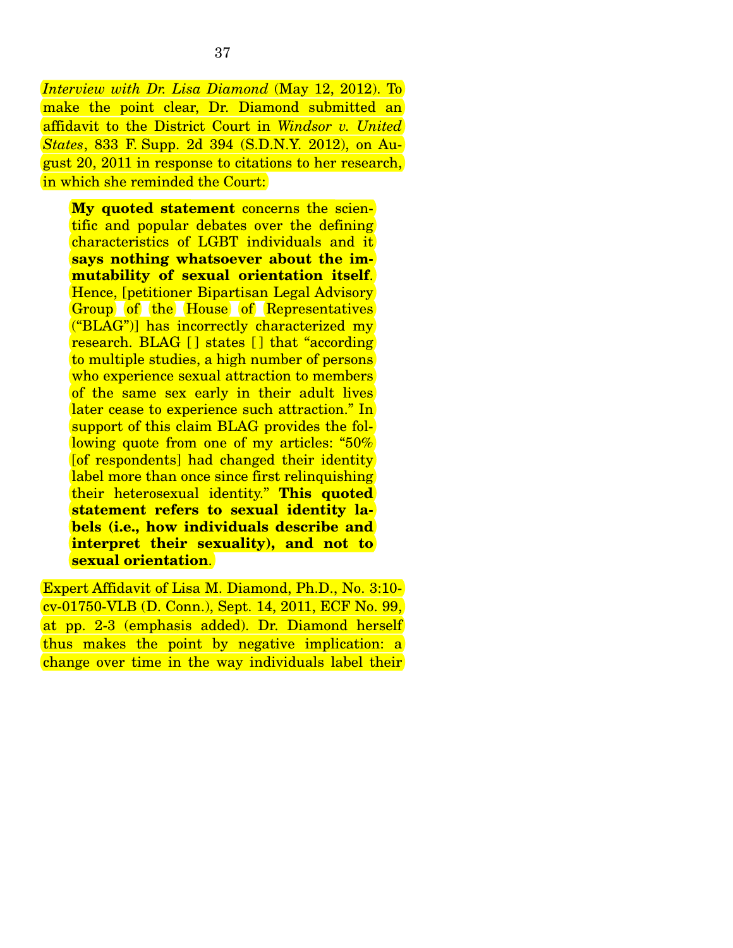*Interview with Dr. Lisa Diamond* (May 12, 2012). To make the point clear, Dr. Diamond submitted an affidavit to the District Court in *Windsor v. United States*, 833 F. Supp. 2d 394 (S.D.N.Y. 2012), on August 20, 2011 in response to citations to her research, in which she reminded the Court:

**My quoted statement** concerns the scientific and popular debates over the defining characteristics of LGBT individuals and it **says nothing whatsoever about the immutability of sexual orientation itself**. Hence, [petitioner Bipartisan Legal Advisory Group of the House of Representatives ("BLAG")] has incorrectly characterized my research. BLAG [ ] states [ ] that "according to multiple studies, a high number of persons who experience sexual attraction to members of the same sex early in their adult lives later cease to experience such attraction." In support of this claim BLAG provides the following quote from one of my articles: "50% [of respondents] had changed their identity label more than once since first relinquishing their heterosexual identity." **This quoted statement refers to sexual identity labels (i.e., how individuals describe and interpret their sexuality), and not to sexual orientation**.

Expert Affidavit of Lisa M. Diamond, Ph.D., No. 3:10 cv-01750-VLB (D. Conn.), Sept. 14, 2011, ECF No. 99, at pp. 2-3 (emphasis added). Dr. Diamond herself thus makes the point by negative implication: a change over time in the way individuals label their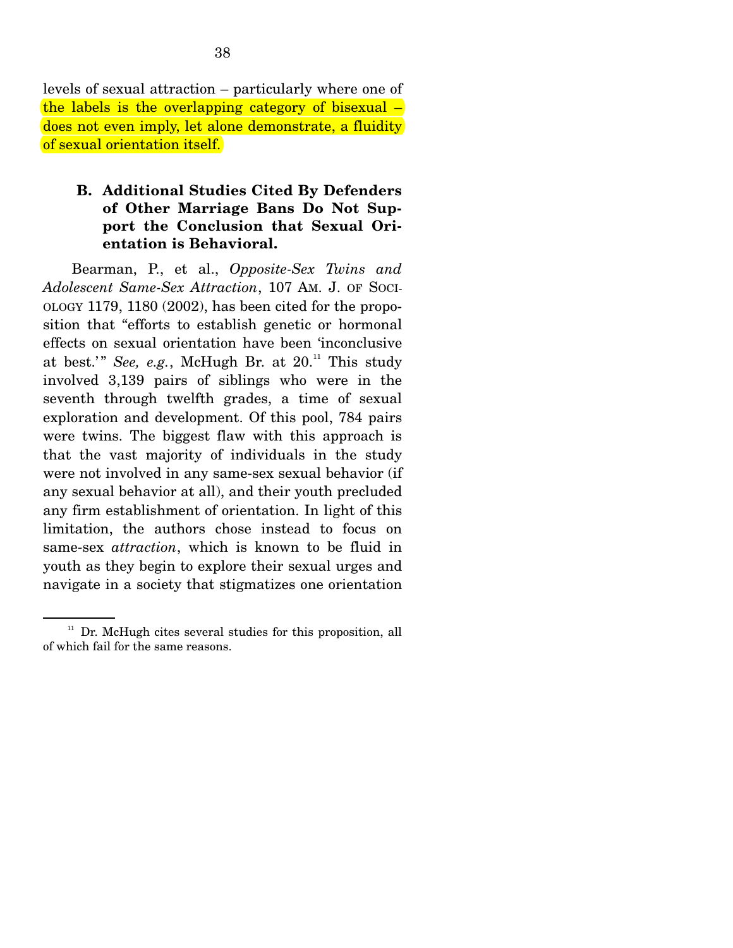levels of sexual attraction – particularly where one of the labels is the overlapping category of bisexual  $$ does not even imply, let alone demonstrate, a fluidity of sexual orientation itself.

### **B. Additional Studies Cited By Defenders of Other Marriage Bans Do Not Support the Conclusion that Sexual Orientation is Behavioral.**

 Bearman, P., et al., *Opposite-Sex Twins and Adolescent Same-Sex Attraction*, 107 AM. J. OF SOCI-OLOGY 1179, 1180 (2002), has been cited for the proposition that "efforts to establish genetic or hormonal effects on sexual orientation have been 'inconclusive at best.'" *See, e.g.*, McHugh Br. at  $20$ .<sup>11</sup> This study involved 3,139 pairs of siblings who were in the seventh through twelfth grades, a time of sexual exploration and development. Of this pool, 784 pairs were twins. The biggest flaw with this approach is that the vast majority of individuals in the study were not involved in any same-sex sexual behavior (if any sexual behavior at all), and their youth precluded any firm establishment of orientation. In light of this limitation, the authors chose instead to focus on same-sex *attraction*, which is known to be fluid in youth as they begin to explore their sexual urges and navigate in a society that stigmatizes one orientation

 $11$  Dr. McHugh cites several studies for this proposition, all of which fail for the same reasons.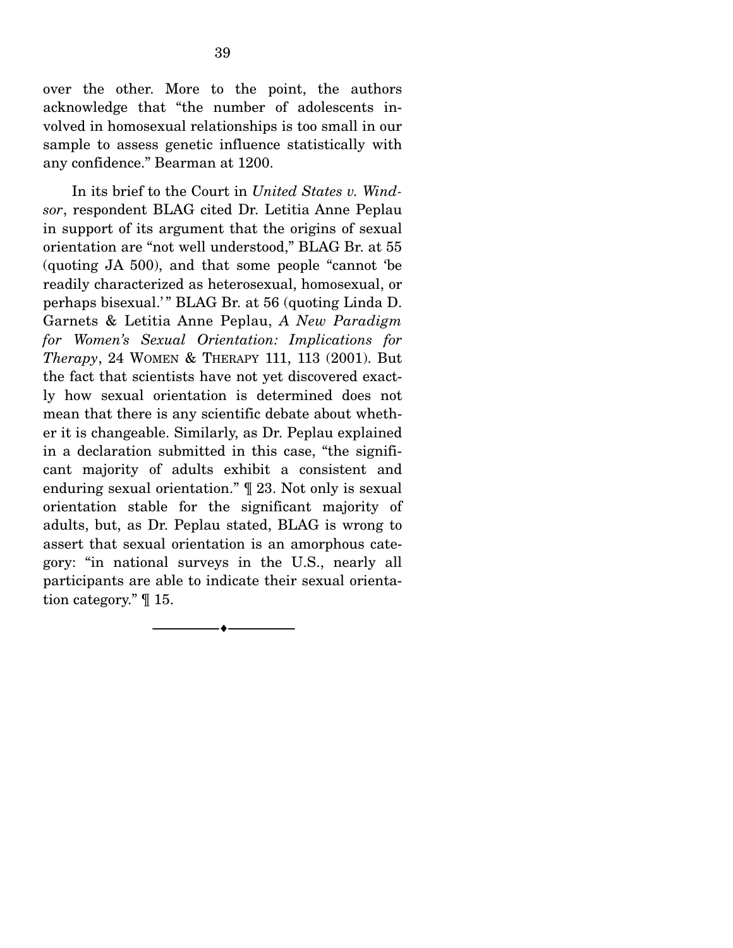over the other. More to the point, the authors acknowledge that "the number of adolescents involved in homosexual relationships is too small in our sample to assess genetic influence statistically with any confidence." Bearman at 1200.

 In its brief to the Court in *United States v. Windsor*, respondent BLAG cited Dr. Letitia Anne Peplau in support of its argument that the origins of sexual orientation are "not well understood," BLAG Br. at 55 (quoting JA 500), and that some people "cannot 'be readily characterized as heterosexual, homosexual, or perhaps bisexual.' " BLAG Br. at 56 (quoting Linda D. Garnets & Letitia Anne Peplau, *A New Paradigm for Women's Sexual Orientation: Implications for Therapy*, 24 WOMEN & THERAPY 111, 113 (2001). But the fact that scientists have not yet discovered exactly how sexual orientation is determined does not mean that there is any scientific debate about whether it is changeable. Similarly, as Dr. Peplau explained in a declaration submitted in this case, "the significant majority of adults exhibit a consistent and enduring sexual orientation." ¶ 23. Not only is sexual orientation stable for the significant majority of adults, but, as Dr. Peplau stated, BLAG is wrong to assert that sexual orientation is an amorphous category: "in national surveys in the U.S., nearly all participants are able to indicate their sexual orientation category." ¶ 15.

--------------------------------- ---------------------------------